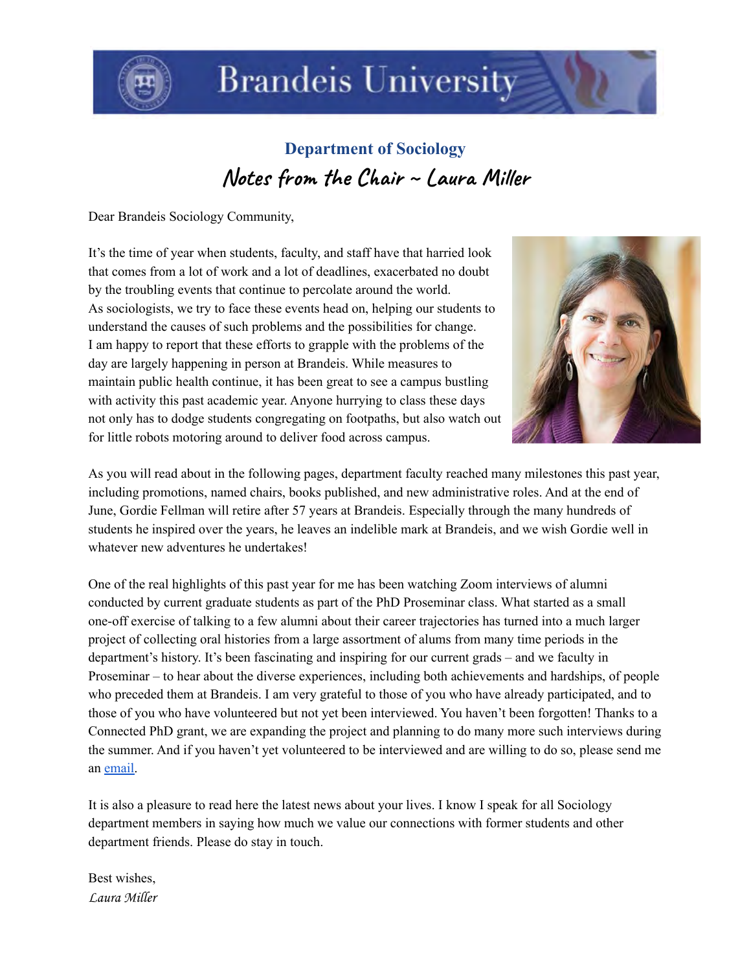

# **Brandeis University**

 **Department of Sociology** Notes from the Chair ~ Laura Miller

Dear Brandeis Sociology Community,

 It's the time of year when students, faculty, and staff have that harried look that comes from a lot of work and a lot of deadlines, exacerbated no doubt by the troubling events that continue to percolate around the world. As sociologists, we try to face these events head on, helping our students to understand the causes of such problems and the possibilities for change. I am happy to report that these efforts to grapple with the problems of the day are largely happening in person at Brandeis. While measures to maintain public health continue, it has been great to see a campus bustling with activity this past academic year. Anyone hurrying to class these days not only has to dodge students congregating on footpaths, but also watch out for little robots motoring around to deliver food across campus.



 As you will read about in the following pages, department faculty reached many milestones this past year, including promotions, named chairs, books published, and new administrative roles. And at the end of June, Gordie Fellman will retire after 57 years at Brandeis. Especially through the many hundreds of students he inspired over the years, he leaves an indelible mark at Brandeis, and we wish Gordie well in whatever new adventures he undertakes!

 One of the real highlights of this past year for me has been watching Zoom interviews of alumni conducted by current graduate students as part of the PhD Proseminar class. What started as a small one-off exercise of talking to a few alumni about their career trajectories has turned into a much larger project of collecting oral histories from a large assortment of alums from many time periods in the department's history. It's been fascinating and inspiring for our current grads – and we faculty in Proseminar – to hear about the diverse experiences, including both achievements and hardships, of people who preceded them at Brandeis. I am very grateful to those of you who have already participated, and to those of you who have volunteered but not yet been interviewed. You haven't been forgotten! Thanks to a Connected PhD grant, we are expanding the project and planning to do many more such interviews during the summer. And if you haven't yet volunteered to be interviewed and are willing to do so, please send me an [email.](mailto:lamiller@brandeis.edu)

 It is also a pleasure to read here the latest news about your lives. I know I speak for all Sociology department members in saying how much we value our connections with former students and other department friends. Please do stay in touch.

Best wishes, Laura Miller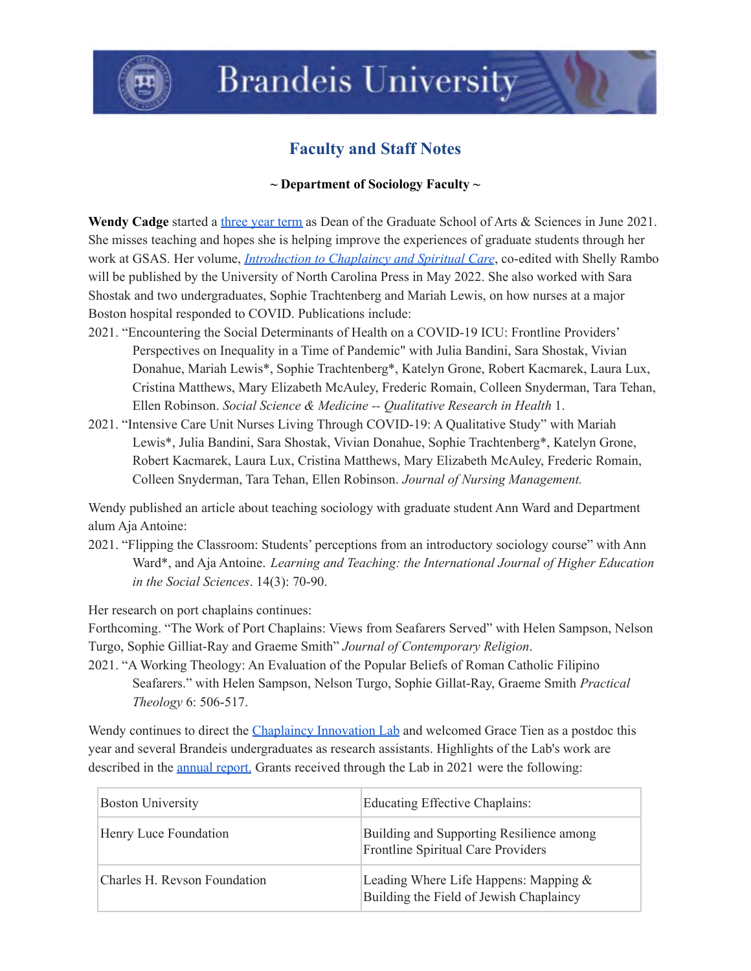

# **Brandeis University**

# **Faculty and Staff Notes**

### **~ Department of Sociology Faculty ~**

Wendy Cadge started a [three](https://www.brandeis.edu/gsas/news/news-stories/2021-new-dean-announcement.html) year term as Dean of the Graduate School of Arts & Sciences in June 2021. She misses teaching and hopes she is helping improve the experiences of graduate students through her work at GSAS. Her volume, *[Introduction](https://uncpress.org/book/9781469667607/chaplaincy-and-spiritual-care-in-the-twenty-first-century/) to Chaplaincy and Spiritual Care*, co-edited with Shelly Rambo will be published by the University of North Carolina Press in May 2022. She also worked with Sara Shostak and two undergraduates, Sophie Trachtenberg and Mariah Lewis, on how nurses at a major Boston hospital responded to COVID. Publications include:

- 2021. "Encountering the Social Determinants of Health on a COVID-19 ICU: Frontline Providers' Perspectives on Inequality in a Time of Pandemic" with Julia Bandini, Sara Shostak, Vivian Donahue, Mariah Lewis\*, Sophie Trachtenberg\*, Katelyn Grone, Robert Kacmarek, Laura Lux, Cristina Matthews, Mary Elizabeth McAuley, Frederic Romain, Colleen Snyderman, Tara Tehan,  Ellen Robinson. *Social Science & Medicine -- Qualitative Research in Health* 1.
- 2021. "Intensive Care Unit Nurses Living Through COVID-19: A Qualitative Study" with Mariah Lewis\*, Julia Bandini, Sara Shostak, Vivian Donahue, Sophie Trachtenberg\*, Katelyn Grone, Robert Kacmarek, Laura Lux, Cristina Matthews, Mary Elizabeth McAuley, Frederic Romain, Colleen Snyderman, Tara Tehan, Ellen Robinson. *Journal of Nursing Management.*

 Wendy published an article about teaching sociology with graduate student Ann Ward and Department alum Aja Antoine:

 2021. "Flipping the Classroom: Students' perceptions from an introductory sociology course" with Ann Ward\*, and Aja Antoine. *Learning and Teaching: the International Journal of Higher Education in the Social Sciences*. 14(3): 70-90.

Her research on port chaplains continues:

 Forthcoming. "The Work of Port Chaplains: Views from Seafarers Served" with Helen Sampson, Nelson Turgo, Sophie Gilliat-Ray and Graeme Smith" *Journal of Contemporary Religion*.

 2021. "A Working Theology: An Evaluation of the Popular Beliefs of Roman Catholic Filipino Seafarers." with Helen Sampson, Nelson Turgo, Sophie Gillat-Ray, Graeme Smith *Practical Theology* 6: 506-517.

Wendy continues to direct the [Chaplaincy](https://chaplaincyinnovation.org/) Innovation Lab and welcomed Grace Tien as a postdoc this year and several Brandeis undergraduates as research assistants. Highlights of the Lab's work are described in the **[annual](https://chaplaincyinnovation.org/about/annual-report-fiscal-year-2021) report**. Grants received through the Lab in 2021 were the following:

|  | <b>Boston University</b>     | Educating Effective Chaplains:                                                     |
|--|------------------------------|------------------------------------------------------------------------------------|
|  | Henry Luce Foundation        | Building and Supporting Resilience among<br>Frontline Spiritual Care Providers     |
|  | Charles H. Revson Foundation | Leading Where Life Happens: Mapping $&$<br>Building the Field of Jewish Chaplaincy |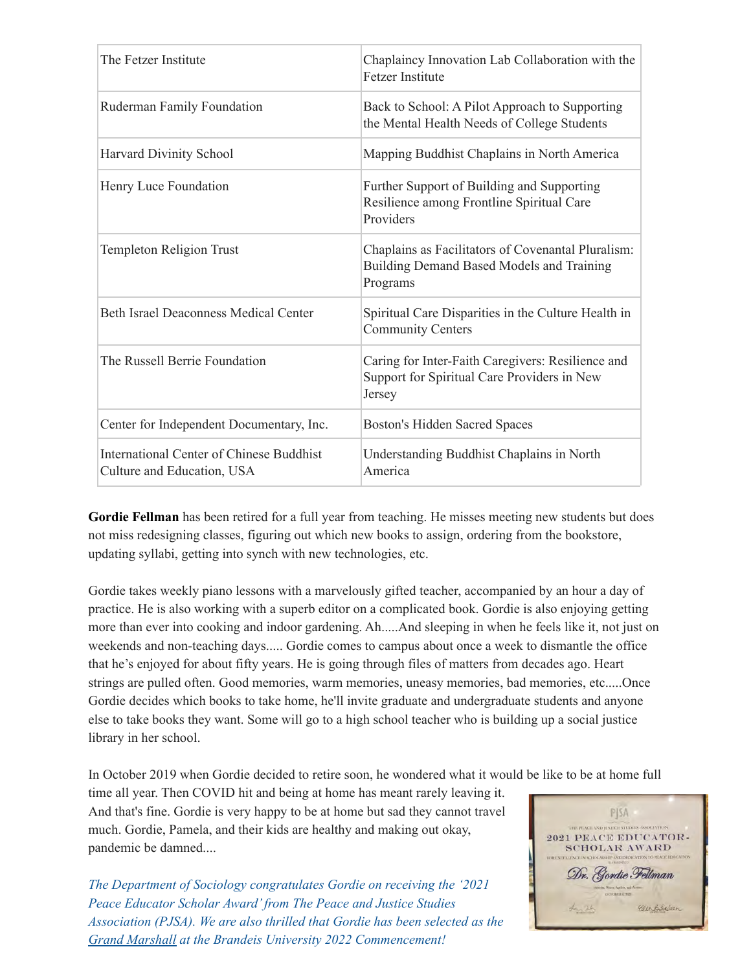| The Fetzer Institute                                                          | Chaplaincy Innovation Lab Collaboration with the<br><b>Fetzer Institute</b>                                        |
|-------------------------------------------------------------------------------|--------------------------------------------------------------------------------------------------------------------|
| Ruderman Family Foundation                                                    | Back to School: A Pilot Approach to Supporting<br>the Mental Health Needs of College Students                      |
| Harvard Divinity School                                                       | Mapping Buddhist Chaplains in North America                                                                        |
| Henry Luce Foundation                                                         | Further Support of Building and Supporting<br>Resilience among Frontline Spiritual Care<br>Providers               |
| <b>Templeton Religion Trust</b>                                               | Chaplains as Facilitators of Covenantal Pluralism:<br><b>Building Demand Based Models and Training</b><br>Programs |
| <b>Beth Israel Deaconness Medical Center</b>                                  | Spiritual Care Disparities in the Culture Health in<br><b>Community Centers</b>                                    |
| The Russell Berrie Foundation                                                 | Caring for Inter-Faith Caregivers: Resilience and<br>Support for Spiritual Care Providers in New<br>Jersey         |
| Center for Independent Documentary, Inc.                                      | <b>Boston's Hidden Sacred Spaces</b>                                                                               |
| <b>International Center of Chinese Buddhist</b><br>Culture and Education, USA | Understanding Buddhist Chaplains in North<br>America                                                               |

 **Gordie Fellman** has been retired for a full year from teaching. He misses meeting new students but does not miss redesigning classes, figuring out which new books to assign, ordering from the bookstore, updating syllabi, getting into synch with new technologies, etc.

 Gordie takes weekly piano lessons with a marvelously gifted teacher, accompanied by an hour a day of practice. He is also working with a superb editor on a complicated book. Gordie is also enjoying getting more than ever into cooking and indoor gardening. Ah.....And sleeping in when he feels like it, not just on weekends and non-teaching days..... Gordie comes to campus about once a week to dismantle the office that he's enjoyed for about fifty years. He is going through files of matters from decades ago. Heart strings are pulled often. Good memories, warm memories, uneasy memories, bad memories, etc.....Once Gordie decides which books to take home, he'll invite graduate and undergraduate students and anyone else to take books they want. Some will go to a high school teacher who is building up a social justice library in her school.

In October 2019 when Gordie decided to retire soon, he wondered what it would be like to be at home full

 time all year. Then COVID hit and being at home has meant rarely leaving it. And that's fine. Gordie is very happy to be at home but sad they cannot travel much. Gordie, Pamela, and their kids are healthy and making out okay, pandemic be damned....

 *The Department of Sociology congratulates Gordie on receiving the '2021 Peace Educator Scholar Award'from The Peace and Justice Studies Association (PJSA). We are also thrilled that Gordie has been selected as the Grand Marshall at the Brandeis University 2022 Commencement!*

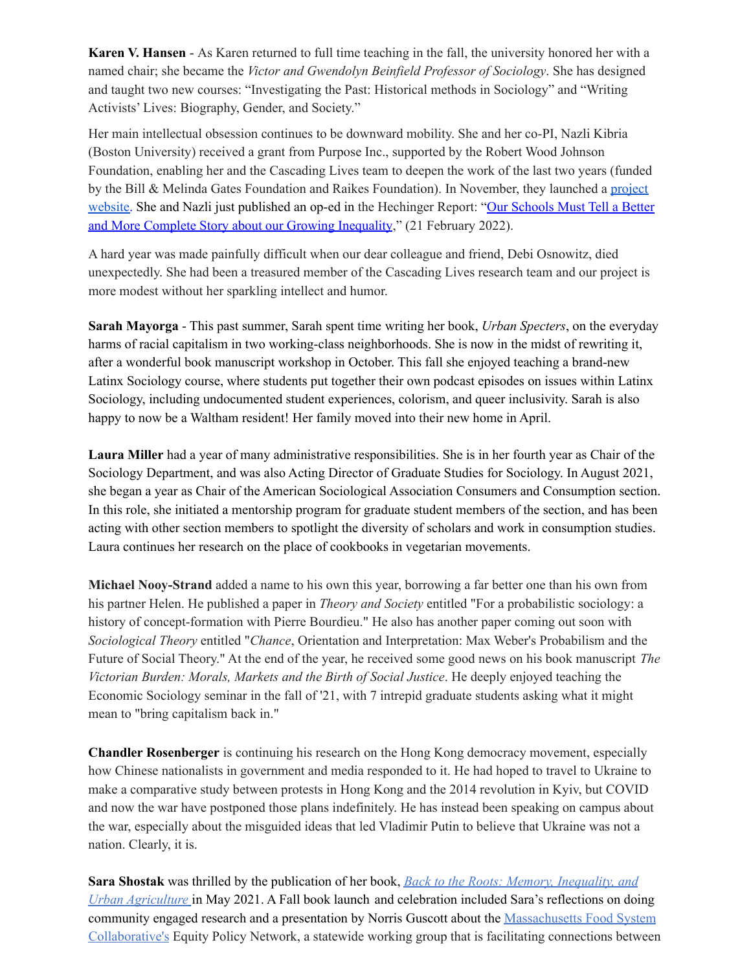**Karen V. Hansen** - As Karen returned to full time teaching in the fall, the university honored her with a named chair; she became the *Victor and Gwendolyn Beinfield Professor of Sociology*. She has designed and taught two new courses: "Investigating the Past: Historical methods in Sociology" and "Writing Activists' Lives: Biography, Gender, and Society."

 Her main intellectual obsession continues to be downward mobility. She and her co-PI, Nazli Kibria (Boston University) received a grant from Purpose Inc., supported by the Robert Wood Johnson Foundation, enabling her and the Cascading Lives team to deepen the work of the last two years (funded by the Bill & Melinda Gates Foundation and Raikes Foundation). In November, they launched a [project](https://www.brandeis.edu/cascading-lives/index.html) [website.](https://www.brandeis.edu/cascading-lives/index.html) She and Nazli just published an op-ed in the Hechinger Report: "Our [Schools](https://hechingerreport.org/opinion-our-schools-must-tell-a-better-and-more-complete-story-about-our-growing-economic-inequality/) Must Tell a Better and More Complete Story about our Growing [Inequality](https://hechingerreport.org/opinion-our-schools-must-tell-a-better-and-more-complete-story-about-our-growing-economic-inequality/)," (21 February 2022).

 A hard year was made painfully difficult when our dear colleague and friend, Debi Osnowitz, died unexpectedly. She had been a treasured member of the Cascading Lives research team and our project is more modest without her sparkling intellect and humor.

 **Sarah Mayorga** - This past summer, Sarah spent time writing her book, *Urban Specters*, on the everyday harms of racial capitalism in two working-class neighborhoods. She is now in the midst of rewriting it, after a wonderful book manuscript workshop in October. This fall she enjoyed teaching a brand-new Latinx Sociology course, where students put together their own podcast episodes on issues within Latinx Sociology, including undocumented student experiences, colorism, and queer inclusivity. Sarah is also happy to now be a Waltham resident! Her family moved into their new home in April.

 **Laura Miller** had a year of many administrative responsibilities. She is in her fourth year as Chair of the Sociology Department, and was also Acting Director of Graduate Studies for Sociology. In August 2021, she began a year as Chair of the American Sociological Association Consumers and Consumption section. In this role, she initiated a mentorship program for graduate student members of the section, and has been acting with other section members to spotlight the diversity of scholars and work in consumption studies. Laura continues her research on the place of cookbooks in vegetarian movements.

 **Michael Nooy-Strand** added a name to his own this year, borrowing a far better one than his own from his partner Helen. He published a paper in *Theory and Society* entitled "For a probabilistic sociology: a history of concept-formation with Pierre Bourdieu." He also has another paper coming out soon with *Sociological Theory* entitled "*Chance*, Orientation and Interpretation: Max Weber's Probabilism and the Future of Social Theory." At the end of the year, he received some good news on his book manuscript *The Victorian Burden: Morals, Markets and the Birth of Social Justice*. He deeply enjoyed teaching the Economic Sociology seminar in the fall of '21, with 7 intrepid graduate students asking what it might mean to "bring capitalism back in."

 **Chandler Rosenberger** is continuing his research on the Hong Kong democracy movement, especially how Chinese nationalists in government and media responded to it. He had hoped to travel to Ukraine to make a comparative study between protests in Hong Kong and the 2014 revolution in Kyiv, but COVID and now the war have postponed those plans indefinitely. He has instead been speaking on campus about the war, especially about the misguided ideas that led Vladimir Putin to believe that Ukraine was not a nation. Clearly, it is.

 **Sara Shostak** was thrilled by the publication of her book, *Back to the Roots: Memory, [Inequality,](https://www.rutgersuniversitypress.org/back-to-the-roots/9780813590141) and Urban [Agriculture](https://www.rutgersuniversitypress.org/back-to-the-roots/9780813590141)* in May 2021. A Fall book launch and celebration included Sara's reflections on doing community engaged research and a presentation by Norris Guscott about the [Massachusetts](https://mafoodsystem.org/) Food System [Collaborative's](https://mafoodsystem.org/) Equity Policy Network, a statewide working group that is facilitating connections between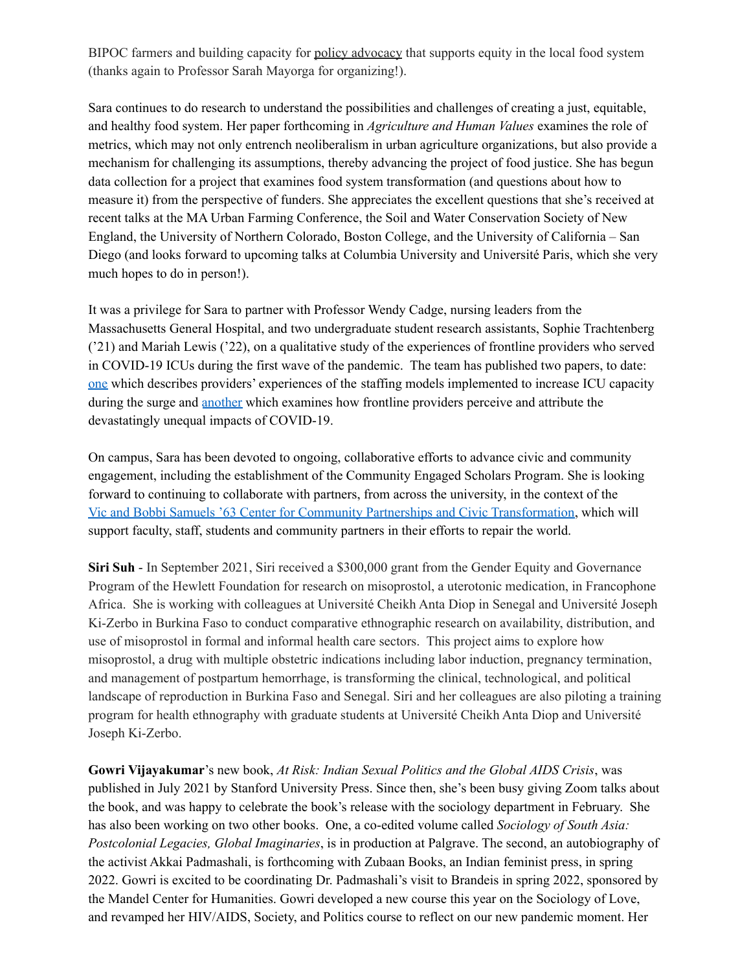BIPOC farmers and building capacity for policy [advocacy](https://mafoodsystem.org/news/equitycta/) that supports equity in the local food system (thanks again to Professor Sarah Mayorga for organizing!).

 Sara continues to do research to understand the possibilities and challenges of creating a just, equitable, and healthy food system. Her paper forthcoming in *Agriculture and Human Values* examines the role of metrics, which may not only entrench neoliberalism in urban agriculture organizations, but also provide a mechanism for challenging its assumptions, thereby advancing the project of food justice. She has begun data collection for a project that examines food system transformation (and questions about how to measure it) from the perspective of funders. She appreciates the excellent questions that she's received at recent talks at the MA Urban Farming Conference, the Soil and Water Conservation Society of New England, the University of Northern Colorado, Boston College, and the University of California – San Diego (and looks forward to upcoming talks at Columbia University and Université Paris, which she very much hopes to do in person!).

 It was a privilege for Sara to partner with Professor Wendy Cadge, nursing leaders from the Massachusetts General Hospital, and two undergraduate student research assistants, Sophie Trachtenberg ('21) and Mariah Lewis ('22), on a qualitative study of the experiences of frontline providers who served in COVID-19 ICUs during the first wave of the pandemic. The team has published two papers, to date[:](https://onlinelibrary.wiley.com/doi/full/10.1111/jonm.13353) [one](https://onlinelibrary.wiley.com/doi/full/10.1111/jonm.13353) which describes providers' experiences of the staffing models implemented to increase ICU capacity during the surge and [another](https://www.sciencedirect.com/science/article/pii/S2667321521000019) which examines how frontline providers perceive and attribute the devastatingly unequal impacts of COVID-19.

 On campus, Sara has been devoted to ongoing, collaborative efforts to advance civic and community engagement, including the establishment of the Community Engaged Scholars Program. She is looking forward to continuing to collaborate with partners, from across the university, in the context of the Vic and Bobbi Samuels '63 Center for Community Partnerships and Civic [Transformation,](https://alumni.brandeis.edu/news/2022/1-4-samuels-center.html) which will support faculty, staff, students and community partners in their efforts to repair the world.

 **Siri Suh** - In September 2021, Siri received a \$300,000 grant from the Gender Equity and Governance Program of the Hewlett Foundation for research on misoprostol, a uterotonic medication, in Francophone Africa. She is working with colleagues at Université Cheikh Anta Diop in Senegal and Université Joseph Ki-Zerbo in Burkina Faso to conduct comparative ethnographic research on availability, distribution, and use of misoprostol in formal and informal health care sectors. This project aims to explore how misoprostol, a drug with multiple obstetric indications including labor induction, pregnancy termination, and management of postpartum hemorrhage, is transforming the clinical, technological, and political landscape of reproduction in Burkina Faso and Senegal. Siri and her colleagues are also piloting a training program for health ethnography with graduate students at Université Cheikh Anta Diop and Université Joseph Ki-Zerbo.

 **Gowri Vijayakumar**'s new book, *At Risk: Indian Sexual Politics and the Global AIDS Crisis*, was published in July 2021 by Stanford University Press. Since then, she's been busy giving Zoom talks about the book, and was happy to celebrate the book's release with the sociology department in February. She has also been working on two other books. One, a co-edited volume called *Sociology of South Asia: Postcolonial Legacies, Global Imaginaries*, is in production at Palgrave. The second, an autobiography of the activist Akkai Padmashali, is forthcoming with Zubaan Books, an Indian feminist press, in spring 2022. Gowri is excited to be coordinating Dr. Padmashali's visit to Brandeis in spring 2022, sponsored by the Mandel Center for Humanities. Gowri developed a new course this year on the Sociology of Love, and revamped her HIV/AIDS, Society, and Politics course to reflect on our new pandemic moment. Her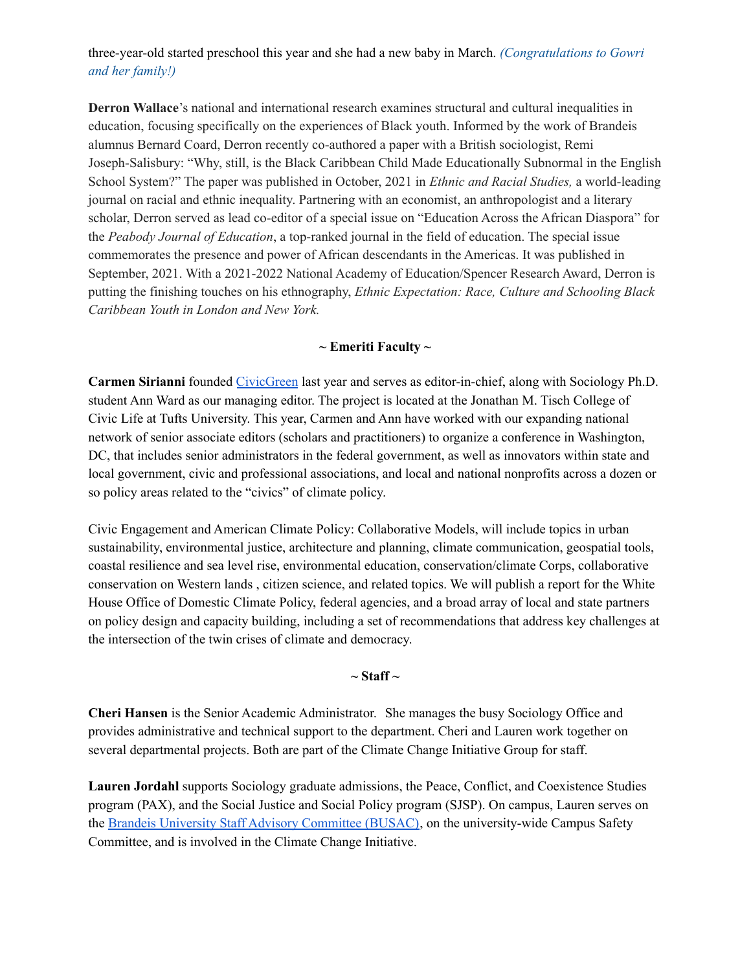## three-year-old started preschool this year and she had a new baby in March. *(Congratulations to Gowri and her family!)*

 **Derron Wallace**'s national and international research examines structural and cultural inequalities in education, focusing specifically on the experiences of Black youth. Informed by the work of Brandeis alumnus Bernard Coard, Derron recently co-authored a paper with a British sociologist, Remi Joseph-Salisbury: "Why, still, is the Black Caribbean Child Made Educationally Subnormal in the English School System?" The paper was published in October, 2021 in *Ethnic and Racial Studies,* a world-leading journal on racial and ethnic inequality. Partnering with an economist, an anthropologist and a literary scholar, Derron served as lead co-editor of a special issue on "Education Across the African Diaspora" for  the *Peabody Journal of Education*, a top-ranked journal in the field of education. The special issue commemorates the presence and power of African descendants in the Americas. It was published in September, 2021. With a 2021-2022 National Academy of Education/Spencer Research Award, Derron is putting the finishing touches on his ethnography, *Ethnic Expectation: Race, Culture and Schooling Black Caribbean Youth in London and New York.*

#### **~ Emeriti Faculty ~**

 **Carmen Sirianni** founded [CivicGreen](https://sites.tufts.edu/civicgreen) last year and serves as editor-in-chief, along with Sociology Ph.D. student Ann Ward as our managing editor. The project is located at the Jonathan M. Tisch College of Civic Life at Tufts University. This year, Carmen and Ann have worked with our expanding national network of senior associate editors (scholars and practitioners) to organize a conference in Washington, DC, that includes senior administrators in the federal government, as well as innovators within state and local government, civic and professional associations, and local and national nonprofits across a dozen or so policy areas related to the "civics" of climate policy.

 Civic Engagement and American Climate Policy: Collaborative Models, will include topics in urban sustainability, environmental justice, architecture and planning, climate communication, geospatial tools, coastal resilience and sea level rise, environmental education, conservation/climate Corps, collaborative conservation on Western lands , citizen science, and related topics. We will publish a report for the White House Office of Domestic Climate Policy, federal agencies, and a broad array of local and state partners on policy design and capacity building, including a set of recommendations that address key challenges at the intersection of the twin crises of climate and democracy.

#### **~ Staff ~**

 **Cheri Hansen** is the Senior Academic Administrator. She manages the busy Sociology Office and provides administrative and technical support to the department. Cheri and Lauren work together on several departmental projects. Both are part of the Climate Change Initiative Group for staff.

 **Lauren Jordahl** supports Sociology graduate admissions, the Peace, Conflict, and Coexistence Studies program (PAX), and the Social Justice and Social Policy program (SJSP). On campus, Lauren serves on the **Brandeis University Staff Advisory [Committee](https://www.brandeis.edu/busac/) (BUSAC)**, on the university-wide Campus Safety Committee, and is involved in the Climate Change Initiative.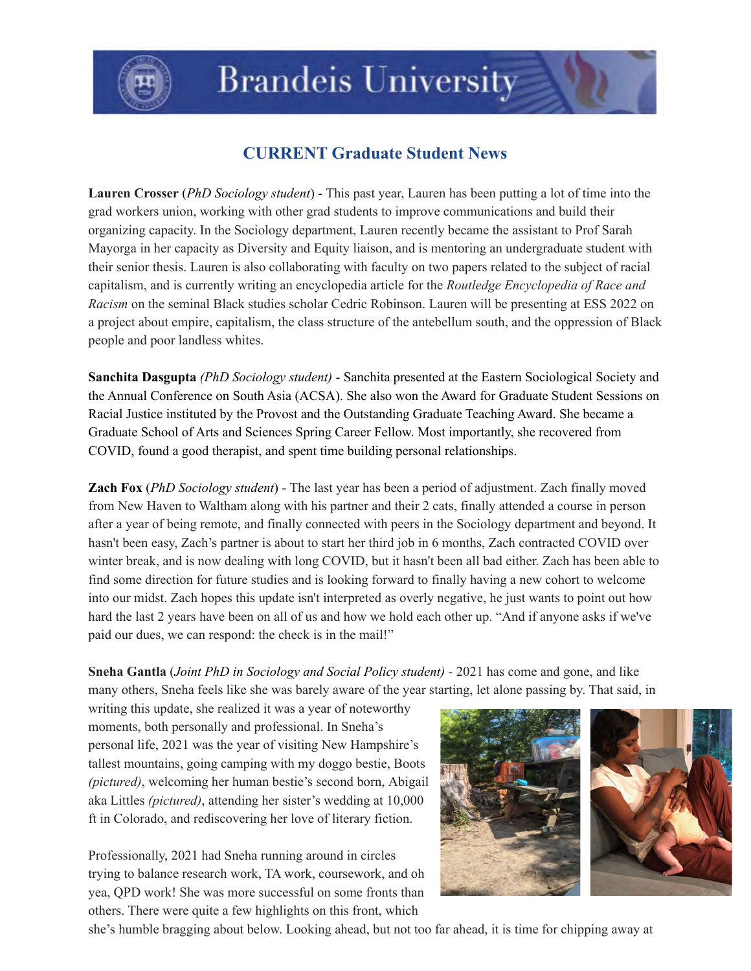

# **CURRENT Graduate Student News**

 **Lauren Crosser** (*PhD Sociology student*) - This past year, Lauren has been putting a lot of time into the grad workers union, working with other grad students to improve communications and build their organizing capacity. In the Sociology department, Lauren recently became the assistant to Prof Sarah Mayorga in her capacity as Diversity and Equity liaison, and is mentoring an undergraduate student with their senior thesis. Lauren is also collaborating with faculty on two papers related to the subject of racial capitalism, and is currently writing an encyclopedia article for the *Routledge Encyclopedia of Race and Racism* on the seminal Black studies scholar Cedric Robinson. Lauren will be presenting at ESS 2022 on a project about empire, capitalism, the class structure of the antebellum south, and the oppression of Black people and poor landless whites.

 **Sanchita Dasgupta** *(PhD Sociology student)* - Sanchita presented at the Eastern Sociological Society and the Annual Conference on South Asia (ACSA). She also won the Award for Graduate Student Sessions on Racial Justice instituted by the Provost and the Outstanding Graduate Teaching Award. She became a Graduate School of Arts and Sciences Spring Career Fellow. Most importantly, she recovered from COVID, found a good therapist, and spent time building personal relationships.

**Zach Fox** (*PhD Sociology student*) - The last year has been a period of adjustment. Zach finally moved from New Haven to Waltham along with his partner and their 2 cats, finally attended a course in person after a year of being remote, and finally connected with peers in the Sociology department and beyond. It hasn't been easy, Zach's partner is about to start her third job in 6 months, Zach contracted COVID over winter break, and is now dealing with long COVID, but it hasn't been all bad either. Zach has been able to find some direction for future studies and is looking forward to finally having a new cohort to welcome into our midst. Zach hopes this update isn't interpreted as overly negative, he just wants to point out how hard the last 2 years have been on all of us and how we hold each other up. "And if anyone asks if we've paid our dues, we can respond: the check is in the mail!"

 **Sneha Gantla** (*Joint PhD in Sociology and Social Policy student)* - 2021 has come and gone, and like many others, Sneha feels like she was barely aware of the year starting, let alone passing by. That said, in

 writing this update, she realized it was a year of noteworthy moments, both personally and professional. In Sneha's personal life, 2021 was the year of visiting New Hampshire's tallest mountains, going camping with my doggo bestie, Boots *(pictured)*, welcoming her human bestie's second born, Abigail aka Littles *(pictured)*, attending her sister's wedding at 10,000 ft in Colorado, and rediscovering her love of literary fiction.

 Professionally, 2021 had Sneha running around in circles trying to balance research work, TA work, coursework, and oh yea, QPD work! She was more successful on some fronts than others. There were quite a few highlights on this front, which



she's humble bragging about below. Looking ahead, but not too far ahead, it is time for chipping away at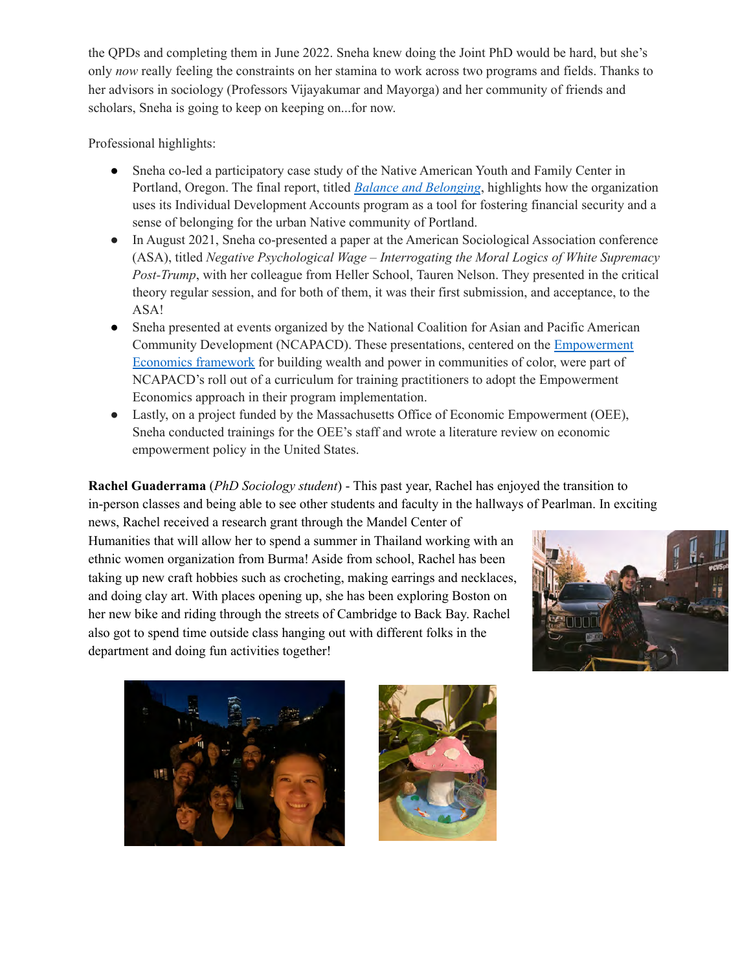the QPDs and completing them in June 2022. Sneha knew doing the Joint PhD would be hard, but she's only *now* really feeling the constraints on her stamina to work across two programs and fields. Thanks to her advisors in sociology (Professors Vijayakumar and Mayorga) and her community of friends and scholars, Sneha is going to keep on keeping on...for now.

Professional highlights:

- Sneha co-led a participatory case study of the Native American Youth and Family Center in Portland, Oregon. The final report, titled *Balance and [Belonging](https://nayapdx.org/blog/2021/11/29/empowerment-economics-and-portlands-native-community/)*, highlights how the organization uses its Individual Development Accounts program as a tool for fostering financial security and a sense of belonging for the urban Native community of Portland.
- ● In August 2021, Sneha co-presented a paper at the American Sociological Association conference  (ASA), titled *Negative Psychological Wage – Interrogating the Moral Logics of White Supremacy Post-Trump*, with her colleague from Heller School, Tauren Nelson. They presented in the critical theory regular session, and for both of them, it was their first submission, and acceptance, to the ASA!
- ● Sneha presented at events organized by the National Coalition for Asian and Pacific American Community Development (NCAPACD). These presentations, centered on the **[Empowerment](https://www.nationalcapacd.org/empowerment-economics/)** [Economics](https://www.nationalcapacd.org/empowerment-economics/) framework for building wealth and power in communities of color, were part of NCAPACD's roll out of a curriculum for training practitioners to adopt the Empowerment Economics approach in their program implementation.
- ● Lastly, on a project funded by the Massachusetts Office of Economic Empowerment (OEE), Sneha conducted trainings for the OEE's staff and wrote a literature review on economic empowerment policy in the United States.

 **Rachel Guaderrama** (*PhD Sociology student*) - This past year, Rachel has enjoyed the transition to in-person classes and being able to see other students and faculty in the hallways of Pearlman. In exciting

 news, Rachel received a research grant through the Mandel Center of Humanities that will allow her to spend a summer in Thailand working with an ethnic women organization from Burma! Aside from school, Rachel has been taking up new craft hobbies such as crocheting, making earrings and necklaces, and doing clay art. With places opening up, she has been exploring Boston on her new bike and riding through the streets of Cambridge to Back Bay. Rachel also got to spend time outside class hanging out with different folks in the department and doing fun activities together!





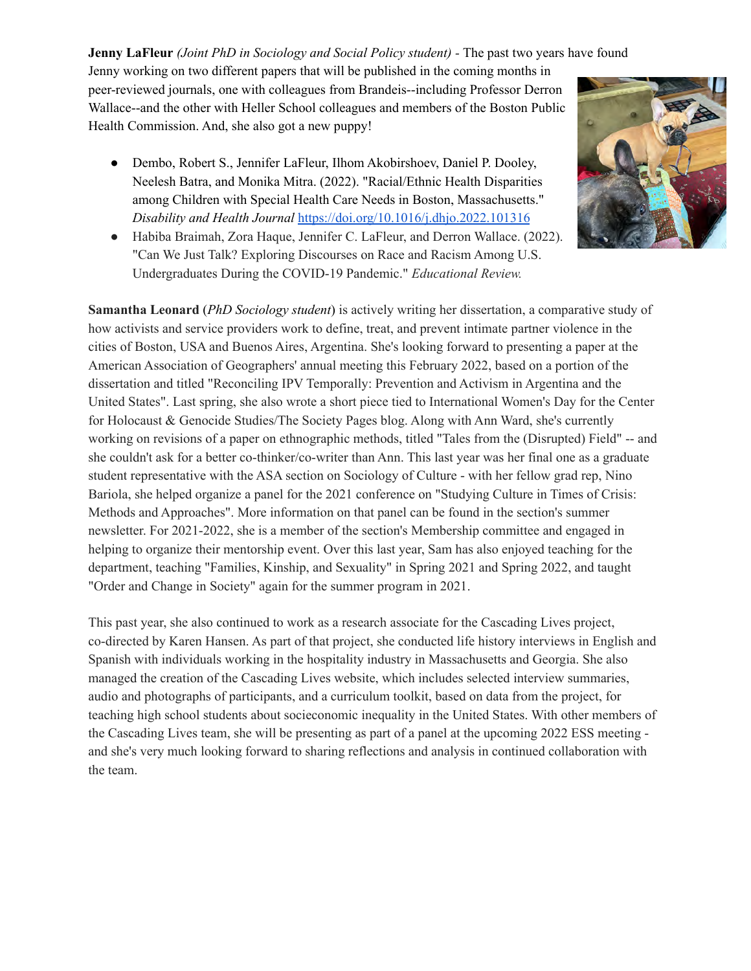**Jenny LaFleur** *(Joint PhD in Sociology and Social Policy student) -* The past two years have found Jenny working on two different papers that will be published in the coming months in peer-reviewed journals, one with colleagues from Brandeis--including Professor Derron Wallace--and the other with Heller School colleagues and members of the Boston Public Health Commission. And, she also got a new puppy!

- ● Dembo, Robert S., Jennifer LaFleur, Ilhom Akobirshoev, Daniel P. Dooley, Neelesh Batra, and Monika Mitra. (2022). "Racial/Ethnic Health Disparities among Children with Special Health Care Needs in Boston, Massachusetts."  *Disability and Health Journal* <https://doi.org/10.1016/j.dhjo.2022.101316>
- ● Habiba Braimah, Zora Haque, Jennifer C. LaFleur, and Derron Wallace. (2022). "Can We Just Talk? Exploring Discourses on Race and Racism Among U.S. Undergraduates During the COVID-19 Pandemic." *Educational Review.*



 This past year, she also continued to work as a research associate for the Cascading Lives project, co-directed by Karen Hansen. As part of that project, she conducted life history interviews in English and Spanish with individuals working in the hospitality industry in Massachusetts and Georgia. She also managed the creation of the Cascading Lives website, which includes selected interview summaries, audio and photographs of participants, and a curriculum toolkit, based on data from the project, for teaching high school students about socieconomic inequality in the United States. With other members of the Cascading Lives team, she will be presenting as part of a panel at the upcoming 2022 ESS meeting - and she's very much looking forward to sharing reflections and analysis in continued collaboration with the team.

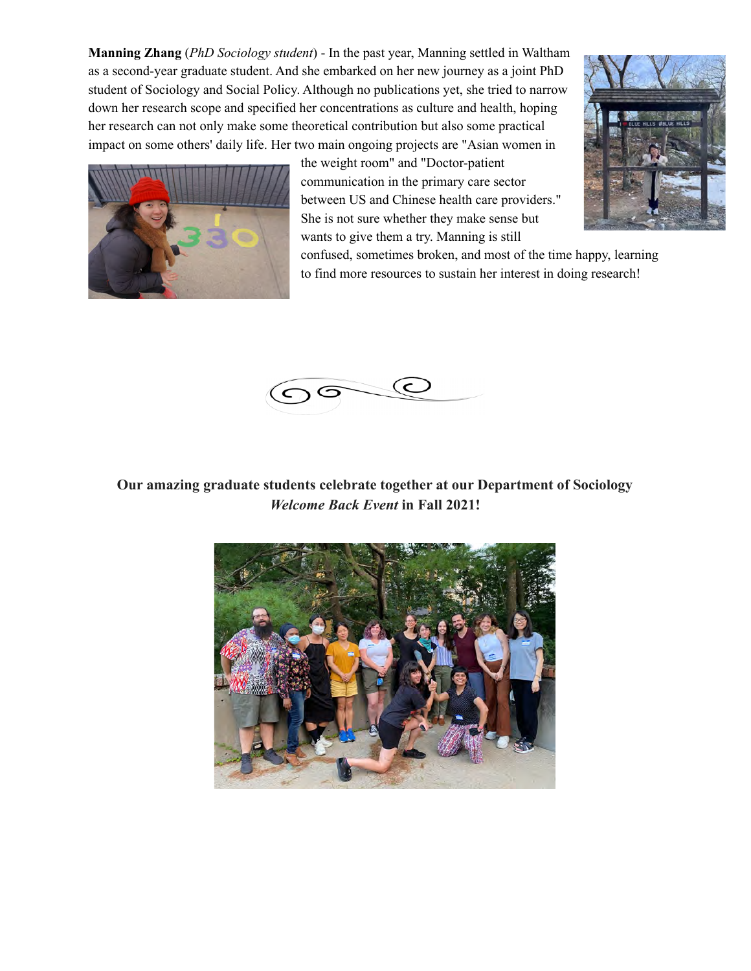**Manning Zhang** (*PhD Sociology student*) - In the past year, Manning settled in Waltham as a second-year graduate student. And she embarked on her new journey as a joint PhD student of Sociology and Social Policy. Although no publications yet, she tried to narrow down her research scope and specified her concentrations as culture and health, hoping her research can not only make some theoretical contribution but also some practical impact on some others' daily life. Her two main ongoing projects are "Asian women in



 the weight room" and "Doctor-patient communication in the primary care sector between US and Chinese health care providers." She is not sure whether they make sense but wants to give them a try. Manning is still



 confused, sometimes broken, and most of the time happy, learning to find more resources to sustain her interest in doing research!



**Our amazing graduate students celebrate together at our Department of Sociology** *Welcome Back Event* **in Fall 2021!**

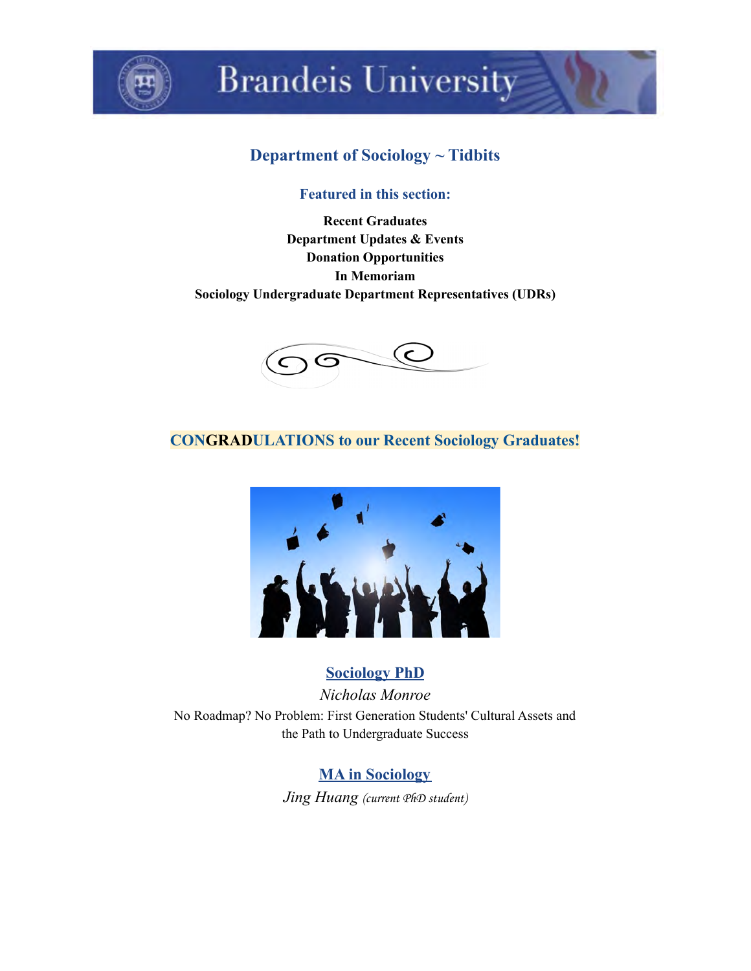

# **Brandeis University**

# **Department of Sociology ~ Tidbits**

### **Featured in this section:**

 **Department Updates & Events Recent Graduates Donation Opportunities In Memoriam Sociology Undergraduate Department Representatives (UDRs)**



# **CONGRADULATIONS to our Recent Sociology Graduates!**



# **Sociology PhD**

 No Roadmap? No Problem: First Generation Students' Cultural Assets and the Path to Undergraduate Success *Nicholas Monroe*

> **MA in Sociology** *Jing Huang* (current PhD student)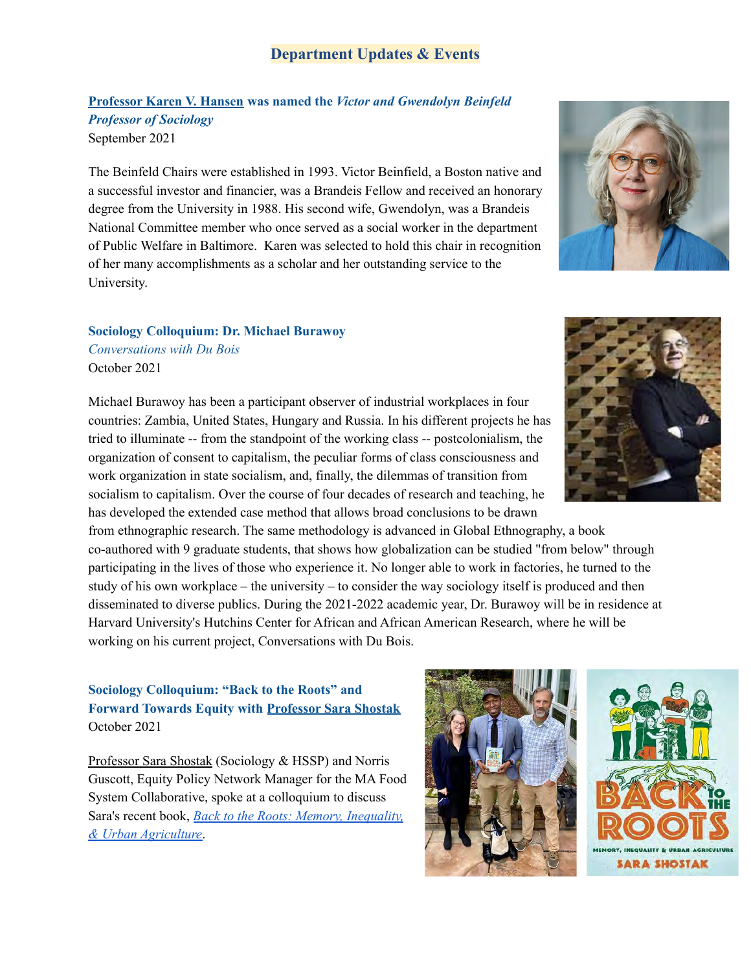#### **Department Updates & Events**

 **Professor Karen V. Hansen was named the** *Victor and Gwendolyn Beinfeld Professor of Sociology* September 2021

 The Beinfeld Chairs were established in 1993. Victor Beinfield, a Boston native and a successful investor and financier, was a Brandeis Fellow and received an honorary degree from the University in 1988. His second wife, Gwendolyn, was a Brandeis National Committee member who once served as a social worker in the department of Public Welfare in Baltimore. Karen was selected to hold this chair in recognition of her many accomplishments as a scholar and her outstanding service to the University.

#### **Sociology Colloquium: Dr. Michael Burawoy**

 *Conversations with Du Bois* October 2021

 Michael Burawoy has been a participant observer of industrial workplaces in four countries: Zambia, United States, Hungary and Russia. In his different projects he has tried to illuminate -- from the standpoint of the working class -- postcolonialism, the organization of consent to capitalism, the peculiar forms of class consciousness and work organization in state socialism, and, finally, the dilemmas of transition from socialism to capitalism. Over the course of four decades of research and teaching, he has developed the extended case method that allows broad conclusions to be drawn

 from ethnographic research. The same methodology is advanced in Global Ethnography, a book co-authored with 9 graduate students, that shows how globalization can be studied "from below" through participating in the lives of those who experience it. No longer able to work in factories, he turned to the study of his own workplace – the university – to consider the way sociology itself is produced and then disseminated to diverse publics. During the 2021-2022 academic year, Dr. Burawoy will be in residence at Harvard University's Hutchins Center for African and African American Research, where he will be working on his current project, Conversations with Du Bois.

#### **Sociology Colloquium: "Back to the Roots" and Forward Towards Equity with Professor Sara Shostak** October 2021

Professor Sara Shostak (Sociology & HSSP) and Norris Guscott, Equity Policy Network Manager for the MA Food System Collaborative, spoke at a colloquium to discuss Sara's recent book, *Back to the Roots: Memory, [Inequality,](https://www.rutgersuniversitypress.org/back-to-the-roots/9780813590141) & Urban [Agriculture](https://www.rutgersuniversitypress.org/back-to-the-roots/9780813590141)*.







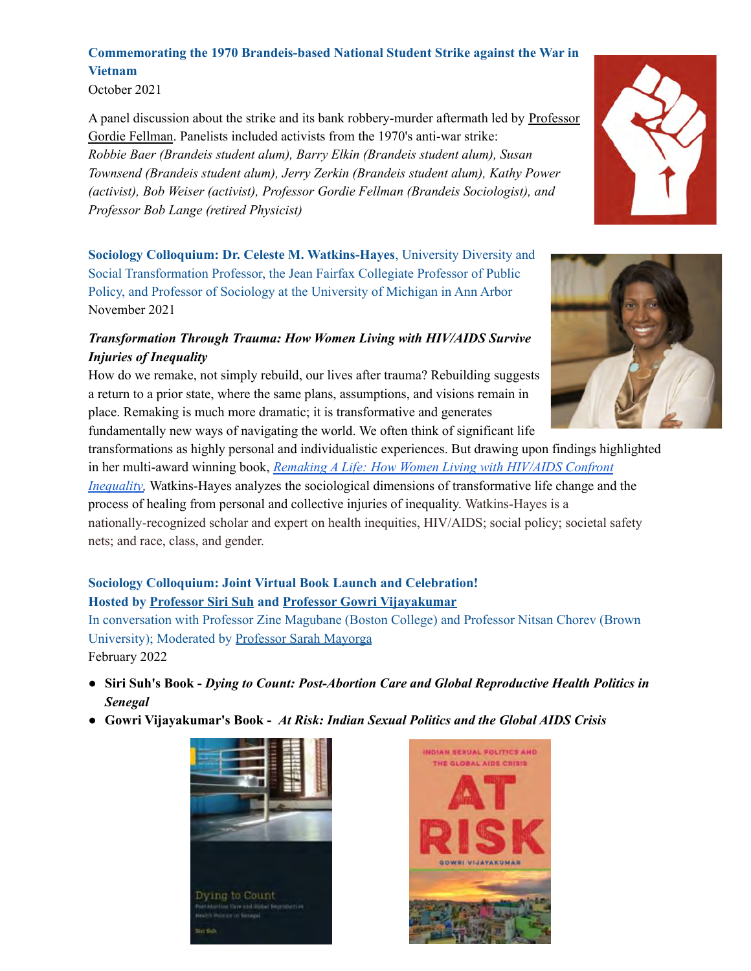# **Commemorating the 1970 Brandeis-based National Student Strike against the War in Vietnam**

October 2021

A panel discussion about the strike and its bank robbery-murder aftermath led by Professor Gordie Fellman. Panelists included activists from the 1970's anti-war strike:  *Robbie Baer (Brandeis student alum), Barry Elkin (Brandeis student alum), Susan Townsend (Brandeis student alum), Jerry Zerkin (Brandeis student alum), Kathy Power (activist), Bob Weiser (activist), Professor Gordie Fellman (Brandeis Sociologist), and Professor Bob Lange (retired Physicist)*

 **Sociology Colloquium: Dr. Celeste M. Watkins-Hayes**, University Diversity and Social Transformation Professor, the Jean Fairfax Collegiate Professor of Public Policy, and Professor of Sociology at the University of Michigan in Ann Arbor November 2021

# *Transformation Through Trauma: How Women Living with HIV/AIDS Survive Injuries of Inequality*



 transformations as highly personal and individualistic experiences. But drawing upon findings highlighted in her multi-award winning book, *Remaking A Life: How Women Living with [HIV/AIDS](https://www.ucpress.edu/book/9780520296039/remaking-a-life#:~:text=About%20the%20Book,-In%20the%20face&text=With%20an%20eye%20towards%20improving,living%20with%20HIV%2FAIDS%20everyday.) Confront [Inequality,](https://www.ucpress.edu/book/9780520296039/remaking-a-life#:~:text=About%20the%20Book,-In%20the%20face&text=With%20an%20eye%20towards%20improving,living%20with%20HIV%2FAIDS%20everyday.)* Watkins-Hayes analyzes the sociological dimensions of transformative life change and the process of healing from personal and collective injuries of inequality. Watkins-Hayes is a nationally-recognized scholar and expert on health inequities, HIV/AIDS; social policy; societal safety nets; and race, class, and gender.

# **Sociology Colloquium: Joint Virtual Book Launch and Celebration! Hosted by Professor Siri Suh and Professor Gowri Vijayakumar**

 In conversation with Professor Zine Magubane (Boston College) and Professor Nitsan Chorev (Brown University); Moderated by **Professor Sarah Mayorga** 

February 2022

- **● Siri Suh's Book -** *Dying to Count: Post-Abortion Care and Global Reproductive Health Politics in Senegal*
- **● Gowri Vijayakumar's Book -** *At Risk: Indian Sexual Politics and the Global AIDS Crisis*







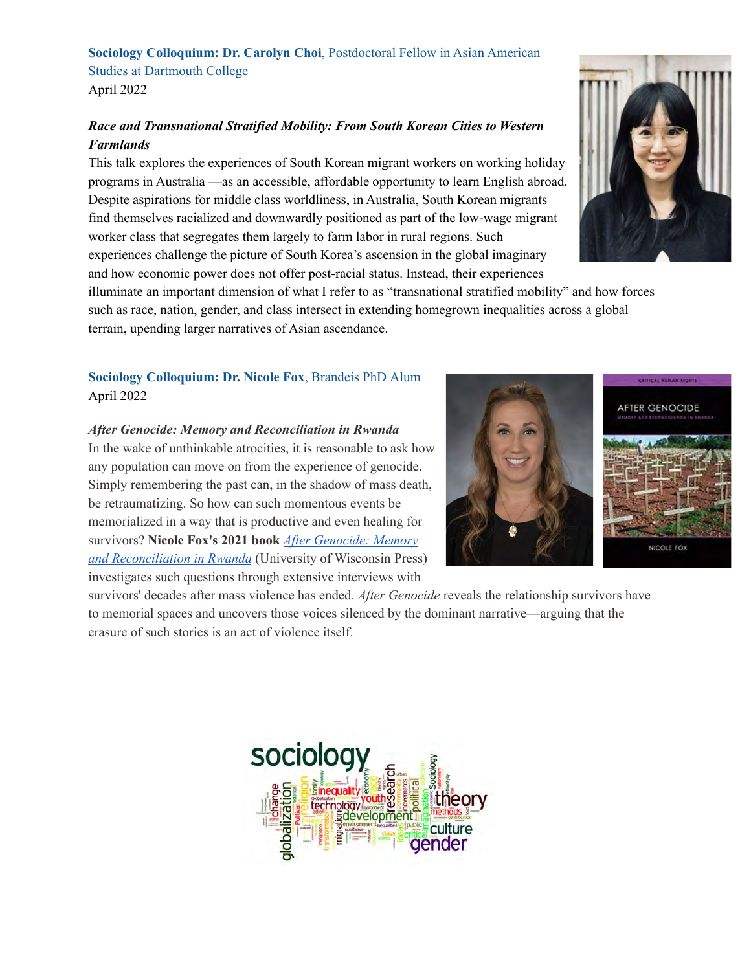## **Sociology Colloquium: Dr. Carolyn Choi**, Postdoctoral Fellow in Asian American Studies at Dartmouth College April 2022

# *Race and Transnational Stratified Mobility: From South Korean Cities to Western Farmlands*

 This talk explores the experiences of South Korean migrant workers on working holiday programs in Australia —as an accessible, affordable opportunity to learn English abroad. Despite aspirations for middle class worldliness, in Australia, South Korean migrants find themselves racialized and downwardly positioned as part of the low-wage migrant worker class that segregates them largely to farm labor in rural regions. Such experiences challenge the picture of South Korea's ascension in the global imaginary and how economic power does not offer post-racial status. Instead, their experiences



 illuminate an important dimension of what I refer to as "transnational stratified mobility" and how forces such as race, nation, gender, and class intersect in extending homegrown inequalities across a global terrain, upending larger narratives of Asian ascendance.

## **Sociology Colloquium: Dr. Nicole Fox**, Brandeis PhD Alum April 2022

#### *After Genocide: Memory and Reconciliation in Rwanda*

 In the wake of unthinkable atrocities, it is reasonable to ask how any population can move on from the experience of genocide. Simply remembering the past can, in the shadow of mass death, be retraumatizing. So how can such momentous events be memorialized in a way that is productive and even healing for  survivors? **Nicole Fox's 2021 book** *After [Genocide:](https://uwpress.wisc.edu/books/5740.htm) Memory and [Reconciliation](https://uwpress.wisc.edu/books/5740.htm) in Rwanda* (University of Wisconsin Press) investigates such questions through extensive interviews with





 survivors' decades after mass violence has ended. *After Genocide* reveals the relationship survivors have to memorial spaces and uncovers those voices silenced by the dominant narrative—arguing that the erasure of such stories is an act of violence itself.

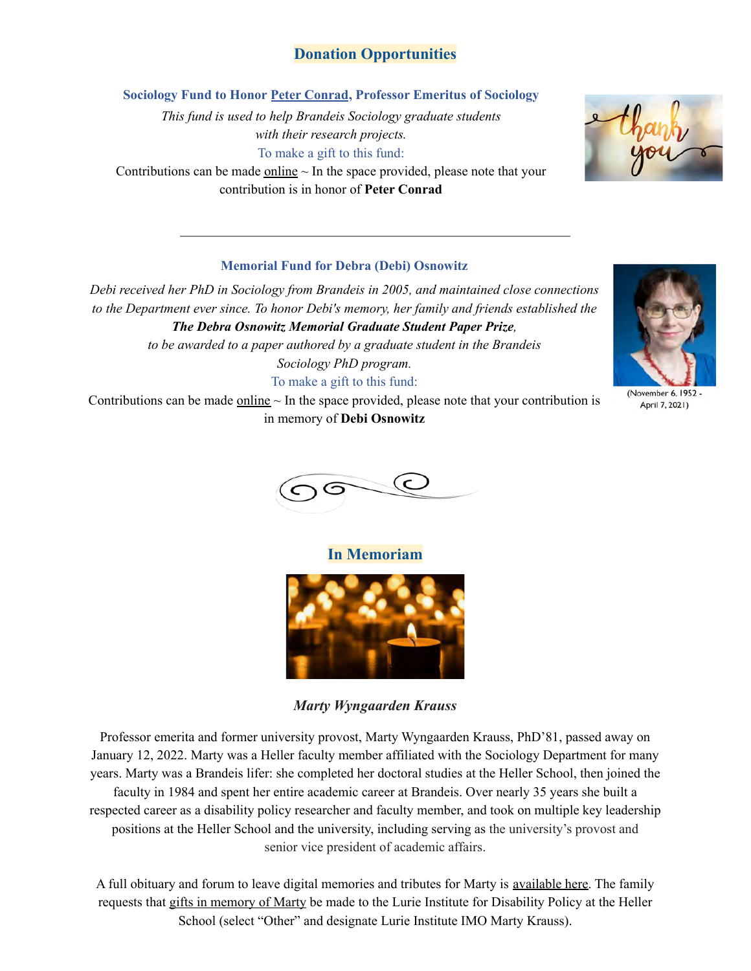## **Donation Opportunities**

 **Sociology Fund to Honor Peter Conrad, Professor Emeritus of Sociology**

 *This fund is used to help Brandeis Sociology graduate students with their research projects.* To make a gift to this fund:

Contributions can be made  $\frac{\text{online}}{\text{}}$  $\frac{\text{online}}{\text{}}$  $\frac{\text{online}}{\text{}}$  in the space provided, please note that your contribution is in honor of **Peter Conrad**

#### **Memorial Fund for Debra (Debi) Osnowitz**

 *Debi received her PhD in Sociology from Brandeis in 2005, and maintained close connections to the Department ever since. To honor Debi's memory, her family and friends established the The Debra Osnowitz Memorial Graduate Student Paper Prize,*

 *to be awarded to a paper authored by a graduate student in the Brandeis Sociology PhD program.*

To make a gift to this fund:

Contributions can be made  $\frac{\text{online}}{\text{}}$  $\frac{\text{online}}{\text{}}$  $\frac{\text{online}}{\text{}}$  – In the space provided, please note that your contribution is in memory of **Debi Osnowitz**



April 7, 2021)



**In Memoriam**



*Marty Wyngaarden Krauss*

 Professor emerita and former university provost, Marty Wyngaarden Krauss, PhD'81, passed away on January 12, 2022. Marty was a Heller faculty member affiliated with the Sociology Department for many years. Marty was a Brandeis lifer: she completed her doctoral studies at the Heller School, then joined the faculty in 1984 and spent her entire academic career at Brandeis. Over nearly 35 years she built a respected career as a disability policy researcher and faculty member, and took on multiple key leadership positions at the Heller School and the university, including serving as the university's provost and senior vice president of academic affairs.

A full obituary and forum to leave digital memories and tributes for Marty is [available](https://mx.technolutions.net/ss/c/gsby7xed_Q9kJKoUKuDGdBC_zhaAfVEE5w9heb3YfFfdb472r0_phs1MbCTT_jNyU1N6JVnxaaDi1vpHbVbE2w/3iu/2G8DD7-DRW6ZCokD0mgqLg/h0/3Qdmird-_48MZ3TaylAhWTSFQoqm-Uw757edCo9LjvY) here. The family requests that gifts in [memory](https://mx.technolutions.net/ss/c/aIkJw0Q_mHk9oe6EO2AZMKg5sLvMYjd817gw-q_pw9CkqnvCHcazjo0gD3RWpDvXM4b0kzGk7ftC7aPUdRUwBHFku3vd7Lm3CdN_I1ZgoNXRr8zELo1rA1phQ5hydga4df2JgcLomL3ajedXoi4lEtDRJ5r8wveuewb53dueO_7dEcH18G6NtAEsytC7zJtFSTFOJIoW2fEeV2bvH6DywQ/3iu/2G8DD7-DRW6ZCokD0mgqLg/h1/SjM1YyTJhrrUUourwXpohMDLaooLitahu5IZFGCmjHo) of Marty be made to the Lurie Institute for Disability Policy at the Heller School (select "Other" and designate Lurie Institute IMO Marty Krauss).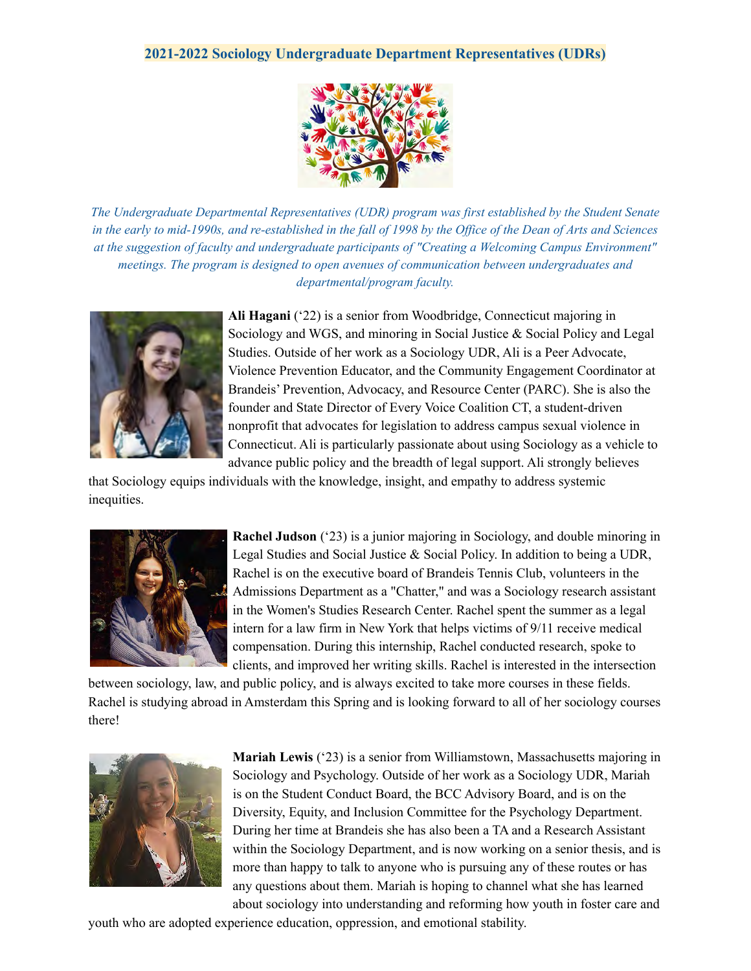#### **2021-2022 Sociology Undergraduate Department Representatives (UDRs)**



*The Undergraduate Departmental Representatives (UDR) program was first established by the Student Senate in the early to mid-1990s, and re-established in the fall of 1998 by the Office of the Dean of Arts and Sciences at the suggestion of faculty and undergraduate participants of "Creating a Welcoming Campus Environment" meetings. The program is designed to open avenues of communication between undergraduates and departmental/program faculty.*



 **Ali Hagani** ('22) is a senior from Woodbridge, Connecticut majoring in Sociology and WGS, and minoring in Social Justice & Social Policy and Legal Studies. Outside of her work as a Sociology UDR, Ali is a Peer Advocate, Violence Prevention Educator, and the Community Engagement Coordinator at Brandeis' Prevention, Advocacy, and Resource Center (PARC). She is also the founder and State Director of Every Voice Coalition CT, a student-driven nonprofit that advocates for legislation to address campus sexual violence in Connecticut. Ali is particularly passionate about using Sociology as a vehicle to advance public policy and the breadth of legal support. Ali strongly believes

 that Sociology equips individuals with the knowledge, insight, and empathy to address systemic inequities.



 **Rachel Judson** ('23) is a junior majoring in Sociology, and double minoring in Legal Studies and Social Justice & Social Policy. In addition to being a UDR, Rachel is on the executive board of Brandeis Tennis Club, volunteers in the Admissions Department as a "Chatter," and was a Sociology research assistant in the Women's Studies Research Center. Rachel spent the summer as a legal intern for a law firm in New York that helps victims of 9/11 receive medical compensation. During this internship, Rachel conducted research, spoke to clients, and improved her writing skills. Rachel is interested in the intersection

 between sociology, law, and public policy, and is always excited to take more courses in these fields. Rachel is studying abroad in Amsterdam this Spring and is looking forward to all of her sociology courses there!



 **Mariah Lewis** ('23) is a senior from Williamstown, Massachusetts majoring in Sociology and Psychology. Outside of her work as a Sociology UDR, Mariah is on the Student Conduct Board, the BCC Advisory Board, and is on the Diversity, Equity, and Inclusion Committee for the Psychology Department. During her time at Brandeis she has also been a TA and a Research Assistant within the Sociology Department, and is now working on a senior thesis, and is more than happy to talk to anyone who is pursuing any of these routes or has any questions about them. Mariah is hoping to channel what she has learned about sociology into understanding and reforming how youth in foster care and

youth who are adopted experience education, oppression, and emotional stability.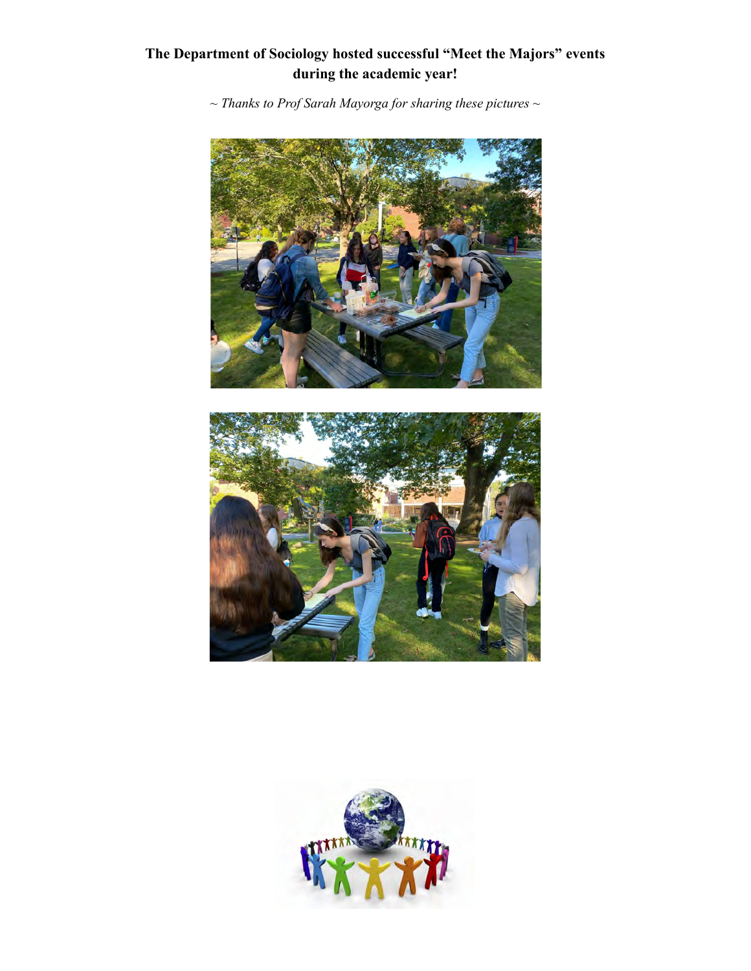# **The Department of Sociology hosted successful "Meet the Majors" events during the academic year!**

 *~ Thanks to Prof Sarah Mayorga for sharing these pictures ~*





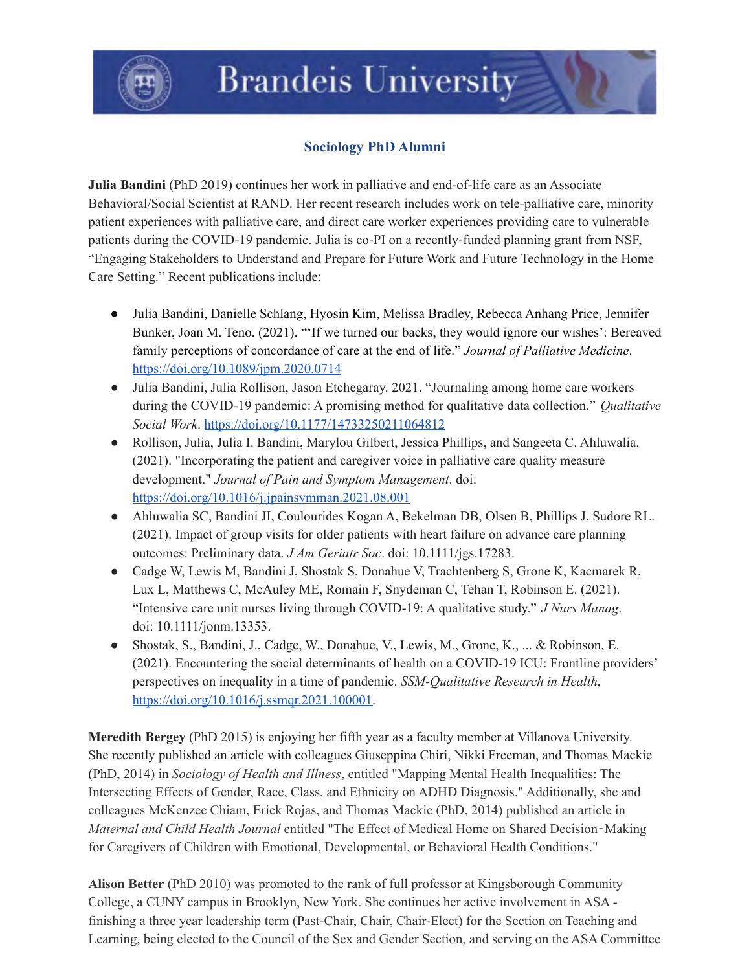

# **Brandeis University**

# **Sociology PhD Alumni**

 **Julia Bandini** (PhD 2019) continues her work in palliative and end-of-life care as an Associate Behavioral/Social Scientist at RAND. Her recent research includes work on tele-palliative care, minority patient experiences with palliative care, and direct care worker experiences providing care to vulnerable patients during the COVID-19 pandemic. Julia is co-PI on a recently-funded planning grant from NSF, "Engaging Stakeholders to Understand and Prepare for Future Work and Future Technology in the Home Care Setting." Recent publications include:

- ● Julia Bandini, Danielle Schlang, Hyosin Kim, Melissa Bradley, Rebecca Anhang Price, Jennifer Bunker, Joan M. Teno. (2021). "'If we turned our backs, they would ignore our wishes': Bereaved family perceptions of concordance of care at the end of life." *Journal of Palliative Medicine*. <https://doi.org/10.1089/jpm.2020.0714>
- ● Julia Bandini, Julia Rollison, Jason Etchegaray. 2021. "Journaling among home care workers during the COVID-19 pandemic: A promising method for qualitative data collection." *Qualitative Social Work*. <https://doi.org/10.1177/14733250211064812>
- ● Rollison, Julia, Julia I. Bandini, Marylou Gilbert, Jessica Phillips, and Sangeeta C. Ahluwalia. (2021). "Incorporating the patient and caregiver voice in palliative care quality measure  development." *Journal of Pain and Symptom Management*. doi: <https://doi.org/10.1016/j.jpainsymman.2021.08.001>
- ● Ahluwalia SC, Bandini JI, Coulourides Kogan A, Bekelman DB, Olsen B, Phillips J, Sudore RL. (2021). Impact of group visits for older patients with heart failure on advance care planning outcomes: Preliminary data. *J Am Geriatr Soc*. doi: 10.1111/jgs.17283.
- ● Cadge W, Lewis M, Bandini J, Shostak S, Donahue V, Trachtenberg S, Grone K, Kacmarek R, Lux L, Matthews C, McAuley ME, Romain F, Snydeman C, Tehan T, Robinson E. (2021). "Intensive care unit nurses living through COVID-19: A qualitative study." *J Nurs Manag*. doi: 10.1111/jonm.13353.
- ● Shostak, S., Bandini, J., Cadge, W., Donahue, V., Lewis, M., Grone, K., ... & Robinson, E. (2021). Encountering the social determinants of health on a COVID-19 ICU: Frontline providers' perspectives on inequality in a time of pandemic. *SSM-Qualitative Research in Health*, [https://doi.org/10.1016/j.ssmqr.2021.100001.](https://doi.org/10.1016/j.ssmqr.2021.100001)

 **Meredith Bergey** (PhD 2015) is enjoying her fifth year as a faculty member at Villanova University. She recently published an article with colleagues Giuseppina Chiri, Nikki Freeman, and Thomas Mackie  (PhD, 2014) in *Sociology of Health and Illness*, entitled "Mapping Mental Health Inequalities: The Intersecting Effects of Gender, Race, Class, and Ethnicity on ADHD Diagnosis." Additionally, she and colleagues McKenzee Chiam, Erick Rojas, and Thomas Mackie (PhD, 2014) published an article in  *Maternal and Child Health Journal* entitled "The Effect of Medical Home on Shared Decision‐Making for Caregivers of Children with Emotional, Developmental, or Behavioral Health Conditions."

 **Alison Better** (PhD 2010) was promoted to the rank of full professor at Kingsborough Community College, a CUNY campus in Brooklyn, New York. She continues her active involvement in ASA - finishing a three year leadership term (Past-Chair, Chair, Chair-Elect) for the Section on Teaching and Learning, being elected to the Council of the Sex and Gender Section, and serving on the ASA Committee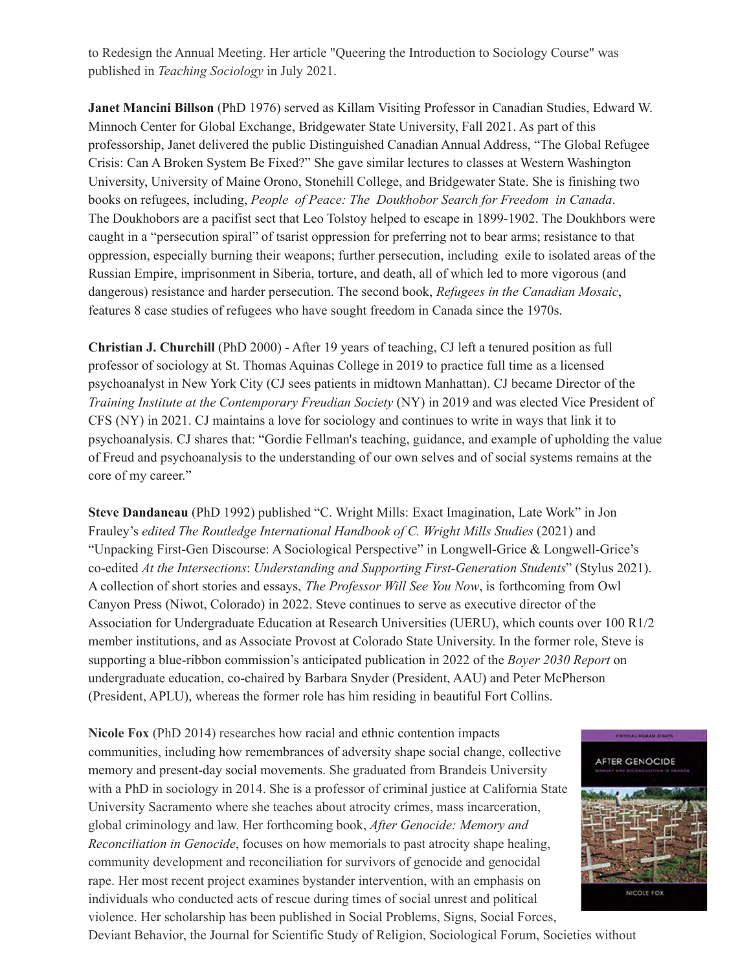to Redesign the Annual Meeting. Her article "Queering the Introduction to Sociology Course" was published in *Teaching Sociology* in July 2021.

 **Janet Mancini Billson** (PhD 1976) served as Killam Visiting Professor in Canadian Studies, Edward W. Minnoch Center for Global Exchange, Bridgewater State University, Fall 2021. As part of this professorship, Janet delivered the public Distinguished Canadian Annual Address, "The Global Refugee Crisis: Can A Broken System Be Fixed?" She gave similar lectures to classes at Western Washington University, University of Maine Orono, Stonehill College, and Bridgewater State. She is finishing two books on refugees, including, *People of Peace: The Doukhobor Search for Freedom in Canada*. The Doukhobors are a pacifist sect that Leo Tolstoy helped to escape in 1899-1902. The Doukhbors were caught in a "persecution spiral" of tsarist oppression for preferring not to bear arms; resistance to that oppression, especially burning their weapons; further persecution, including exile to isolated areas of the Russian Empire, imprisonment in Siberia, torture, and death, all of which led to more vigorous (and dangerous) resistance and harder persecution. The second book, *Refugees in the Canadian Mosaic*, features 8 case studies of refugees who have sought freedom in Canada since the 1970s.

 **Christian J. Churchill** (PhD 2000) - After 19 years of teaching, CJ left a tenured position as full professor of sociology at St. Thomas Aquinas College in 2019 to practice full time as a licensed psychoanalyst in New York City (CJ sees patients in midtown Manhattan). CJ became Director of the  *Training Institute at the Contemporary Freudian Society* (NY) in 2019 and was elected Vice President of CFS (NY) in 2021. CJ maintains a love for sociology and continues to write in ways that link it to psychoanalysis. CJ shares that: "Gordie Fellman's teaching, guidance, and example of upholding the value of Freud and psychoanalysis to the understanding of our own selves and of social systems remains at the core of my career."

 **Steve Dandaneau** (PhD 1992) published "C. Wright Mills: Exact Imagination, Late Work" in Jon  Frauley's *edited The Routledge International Handbook of C. Wright Mills Studies* (2021) and "Unpacking First-Gen Discourse: A Sociological Perspective" in Longwell-Grice & Longwell-Grice's  co-edited *At the Intersections*: *Understanding and Supporting First-Generation Students*" (Stylus 2021). A collection of short stories and essays, *The Professor Will See You Now*, is forthcoming from Owl Canyon Press (Niwot, Colorado) in 2022. Steve continues to serve as executive director of the Association for Undergraduate Education at Research Universities (UERU), which counts over 100 R1/2 member institutions, and as Associate Provost at Colorado State University. In the former role, Steve is supporting a blue-ribbon commission's anticipated publication in 2022 of the *Boyer 2030 Report* on undergraduate education, co-chaired by Barbara Snyder (President, AAU) and Peter McPherson (President, APLU), whereas the former role has him residing in beautiful Fort Collins.

 **Nicole Fox** (PhD 2014) researches how racial and ethnic contention impacts communities, including how remembrances of adversity shape social change, collective memory and present-day social movements. She graduated from Brandeis University with a PhD in sociology in 2014. She is a professor of criminal justice at California State University Sacramento where she teaches about atrocity crimes, mass incarceration, global criminology and law. Her forthcoming book, *After Genocide: Memory and Reconciliation in Genocide*, focuses on how memorials to past atrocity shape healing, community development and reconciliation for survivors of genocide and genocidal rape. Her most recent project examines bystander intervention, with an emphasis on individuals who conducted acts of rescue during times of social unrest and political violence. Her scholarship has been published in Social Problems, Signs, Social Forces,



Deviant Behavior, the Journal for Scientific Study of Religion, Sociological Forum, Societies without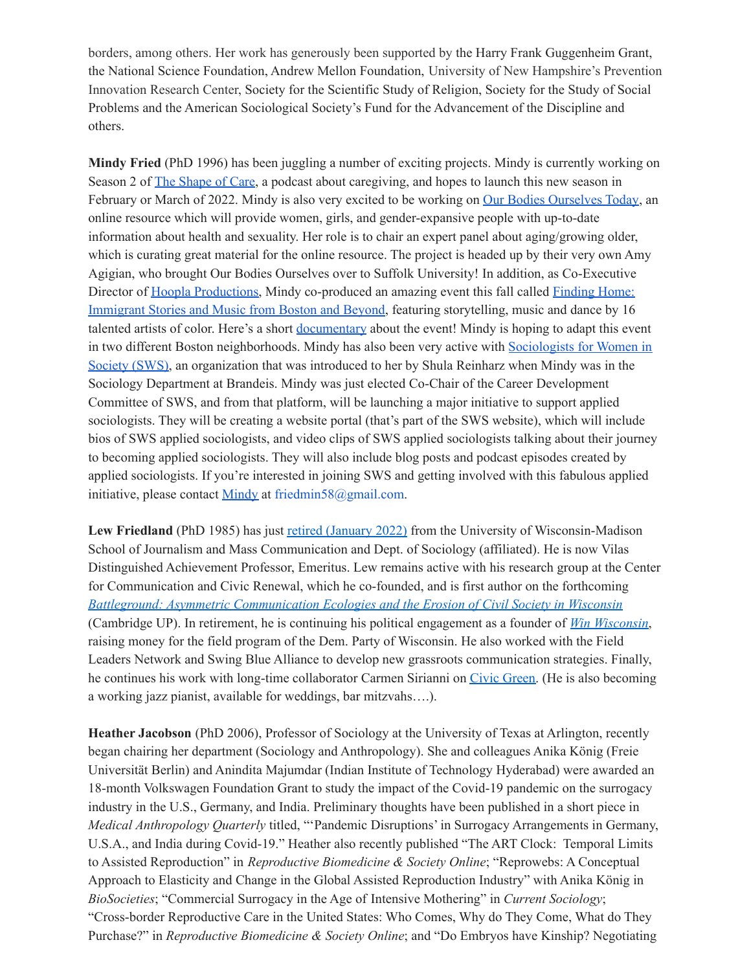borders, among others. Her work has generously been supported by the Harry Frank Guggenheim Grant, the National Science Foundation, Andrew Mellon Foundation, University of New Hampshire's Prevention Innovation Research Center, Society for the Scientific Study of Religion, Society for the Study of Social Problems and the American Sociological Society's Fund for the Advancement of the Discipline and others.

 **Mindy Fried** (PhD 1996) has been juggling a number of exciting projects. Mindy is currently working on Season 2 of The [Shape](http://theshapeofcare.org/) of Care, a podcast about caregiving, and hopes to launch this new season in February or March of 2022. Mindy is also very excited to be working on Our Bodies [Ourselves](https://www.ourbodiesourselvestoday.org/) Today, an online resource which will provide women, girls, and gender-expansive people with up-to-date information about health and sexuality. Her role is to chair an expert panel about aging/growing older, which is curating great material for the online resource. The project is headed up by their very own Amy Agigian, who brought Our Bodies Ourselves over to Suffolk University! In addition, as Co-Executive Director of Hoopla [Productions,](https://www.hooplaproductions.org/) Mindy co-produced an amazing event this fall called [Finding](https://www.hooplaproductions.org/finding-home/) Home: [Immigrant](https://www.hooplaproductions.org/finding-home/) Stories and Music from Boston and Beyond, featuring storytelling, music and dance by 16 talented artists of color. Here's a short [documentary](https://vimeo.com/641650035) about the event! Mindy is hoping to adapt this event in two different Boston neighborhoods. Mindy has also been very active with [Sociologists](https://socwomen.org/) for Women in [Society](https://socwomen.org/) (SWS), an organization that was introduced to her by Shula Reinharz when Mindy was in the Sociology Department at Brandeis. Mindy was just elected Co-Chair of the Career Development Committee of SWS, and from that platform, will be launching a major initiative to support applied sociologists. They will be creating a website portal (that's part of the SWS website), which will include bios of SWS applied sociologists, and video clips of SWS applied sociologists talking about their journey to becoming applied sociologists. They will also include blog posts and podcast episodes created by applied sociologists. If you're interested in joining SWS and getting involved with this fabulous applied initiative, please contact [Mindy](mailto:friedmin58@gmail.com) at [friedmin58@gmail.com.](mailto:friedmin58@gmail.com)

Lew Friedland (PhD 1985) has just retired [\(January](https://journalism.wisc.edu/news/longtime-sjmc-professor-lewis-friedland-retires-after-30-year-career/) 2022) from the University of Wisconsin-Madison School of Journalism and Mass Communication and Dept. of Sociology (affiliated). He is now Vilas Distinguished Achievement Professor, Emeritus. Lew remains active with his research group at the Center for Communication and Civic Renewal, which he co-founded, and is first author on the forthcoming  *Battleground: Asymmetric [Communication](https://www.cambridge.org/core/elements/abs/battleground/99000E0D2648280C6FD9824F26B08FF5) Ecologies and the Erosion of Civil Society in Wisconsin* (Cambridge UP). In retirement, he is continuing his political engagement as a founder of *Win [Wisconsin](https://winwisconsin.org/)*, raising money for the field program of the Dem. Party of Wisconsin. He also worked with the Field Leaders Network and Swing Blue Alliance to develop new grassroots communication strategies. Finally, he continues his work with long-time collaborator Carmen Sirianni on Civic [Green.](https://sites.tufts.edu/civicgreen/) (He is also becoming a working jazz pianist, available for weddings, bar mitzvahs….).

 **Heather Jacobson** (PhD 2006), Professor of Sociology at the University of Texas at Arlington, recently began chairing her department (Sociology and Anthropology). She and colleagues Anika König (Freie Universität Berlin) and Anindita Majumdar (Indian Institute of Technology Hyderabad) were awarded an 18-month Volkswagen Foundation Grant to study the impact of the Covid-19 pandemic on the surrogacy industry in the U.S., Germany, and India. Preliminary thoughts have been published in a short piece in *Medical Anthropology Quarterly* titled, "'Pandemic Disruptions' in Surrogacy Arrangements in Germany, U.S.A., and India during Covid-19." Heather also recently published "The ART Clock: Temporal Limits to Assisted Reproduction" in *Reproductive Biomedicine & Society Online*; "Reprowebs: A Conceptual Approach to Elasticity and Change in the Global Assisted Reproduction Industry" with Anika König in *BioSocieties*; "Commercial Surrogacy in the Age of Intensive Mothering" in *Current Sociology*; "Cross-border Reproductive Care in the United States: Who Comes, Why do They Come, What do They  Purchase?" in *Reproductive Biomedicine & Society Online*; and "Do Embryos have Kinship? Negotiating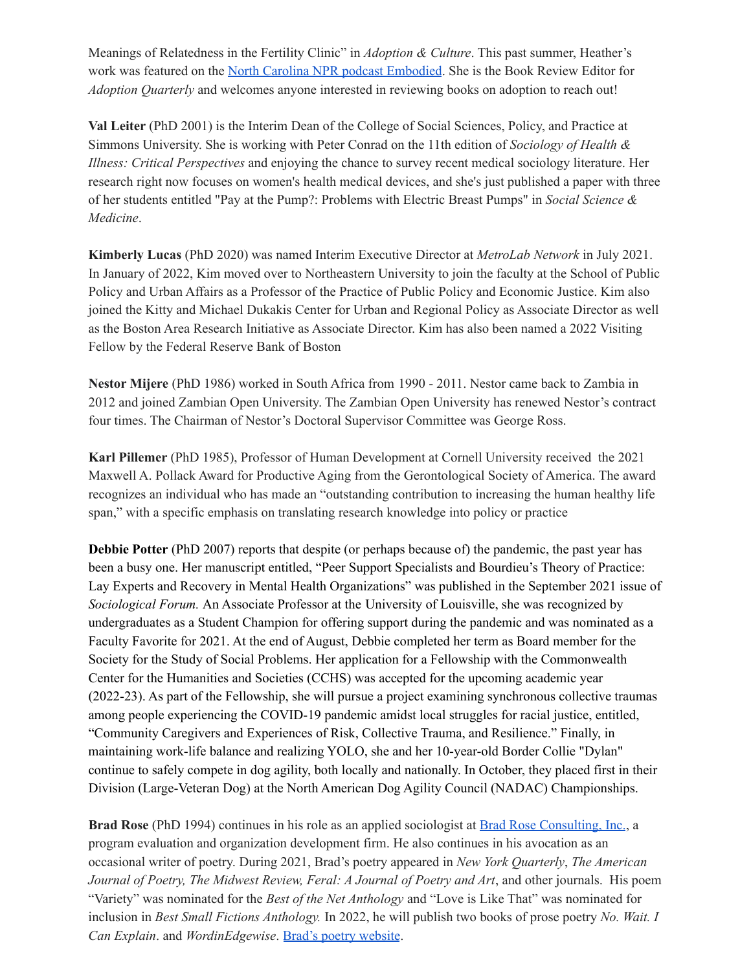Meanings of Relatedness in the Fertility Clinic" in *Adoption & Culture*. This past summer, Heather's work was featured on the North Carolina NPR podcast [Embodied](https://www.wunc.org/show/embodied-radio-show/2021-07-09/embodied-surrogacy-pregnancy-families-surrogate). She is the Book Review Editor for *Adoption Quarterly* and welcomes anyone interested in reviewing books on adoption to reach out!

 **Val Leiter** (PhD 2001) is the Interim Dean of the College of Social Sciences, Policy, and Practice at Simmons University. She is working with Peter Conrad on the 11th edition of *Sociology of Health & Illness: Critical Perspectives* and enjoying the chance to survey recent medical sociology literature. Her research right now focuses on women's health medical devices, and she's just published a paper with three of her students entitled "Pay at the Pump?: Problems with Electric Breast Pumps" in *Social Science & Medicine*.

 **Kimberly Lucas** (PhD 2020) was named Interim Executive Director at *[MetroLab](https://metrolabnetwork.org/) Network* in July 2021. In January of 2022, Kim moved over to Northeastern University to join the faculty at the School of Public Policy and Urban Affairs as a Professor of the Practice of Public Policy and Economic Justice. Kim also joined the Kitty and Michael Dukakis Center for Urban and Regional Policy as Associate Director as well as the Boston Area Research Initiative as Associate Director. Kim has also been named a 2022 Visiting Fellow by the Federal Reserve Bank of Boston

 **Nestor Mijere** (PhD 1986) worked in South Africa from 1990 - 2011. Nestor came back to Zambia in 2012 and joined Zambian Open University. The Zambian Open University has renewed Nestor's contract four times. The Chairman of Nestor's Doctoral Supervisor Committee was George Ross.

 **Karl Pillemer** (PhD 1985), Professor of Human Development at Cornell University received the 2021 Maxwell A. Pollack Award for Productive Aging from the Gerontological Society of America. The award recognizes an individual who has made an "outstanding contribution to increasing the human healthy life span," with a specific emphasis on translating research knowledge into policy or practice

 **Debbie Potter** (PhD 2007) reports that despite (or perhaps because of) the pandemic, the past year has been a busy one. Her manuscript entitled, "Peer Support Specialists and Bourdieu's Theory of Practice: Lay Experts and Recovery in Mental Health Organizations" was published in the September 2021 issue of *Sociological Forum.* An Associate Professor at the University of Louisville, she was recognized by undergraduates as a Student Champion for offering support during the pandemic and was nominated as a Faculty Favorite for 2021. At the end of August, Debbie completed her term as Board member for the Society for the Study of Social Problems. Her application for a Fellowship with the Commonwealth Center for the Humanities and Societies (CCHS) was accepted for the upcoming academic year (2022-23). As part of the Fellowship, she will pursue a project examining synchronous collective traumas among people experiencing the COVID-19 pandemic amidst local struggles for racial justice, entitled, "Community Caregivers and Experiences of Risk, Collective Trauma, and Resilience." Finally, in maintaining work-life balance and realizing YOLO, she and her 10-year-old Border Collie "Dylan" continue to safely compete in dog agility, both locally and nationally. In October, they placed first in their Division (Large-Veteran Dog) at the North American Dog Agility Council (NADAC) Championships.

**Brad Rose** (PhD 1994) continues in his role as an applied sociologist at **Brad Rose [Consulting,](http://www.bradroseconsulting.com) Inc.**, a program evaluation and organization development firm. He also continues in his avocation as an occasional writer of poetry. During 2021, Brad's poetry appeared in *New York Quarterly*, *The American Journal of Poetry, The Midwest Review, Feral: A Journal of Poetry and Art*, and other journals. His poem "Variety" was nominated for the *Best of the Net Anthology* and "Love is Like That" was nominated for  inclusion in *Best Small Fictions Anthology.* In 2022, he will publish two books of prose poetry *No. Wait. I Can Explain*. and *WordinEdgewise*. Brad's poetry [website](http://bradrosepoetry.com/).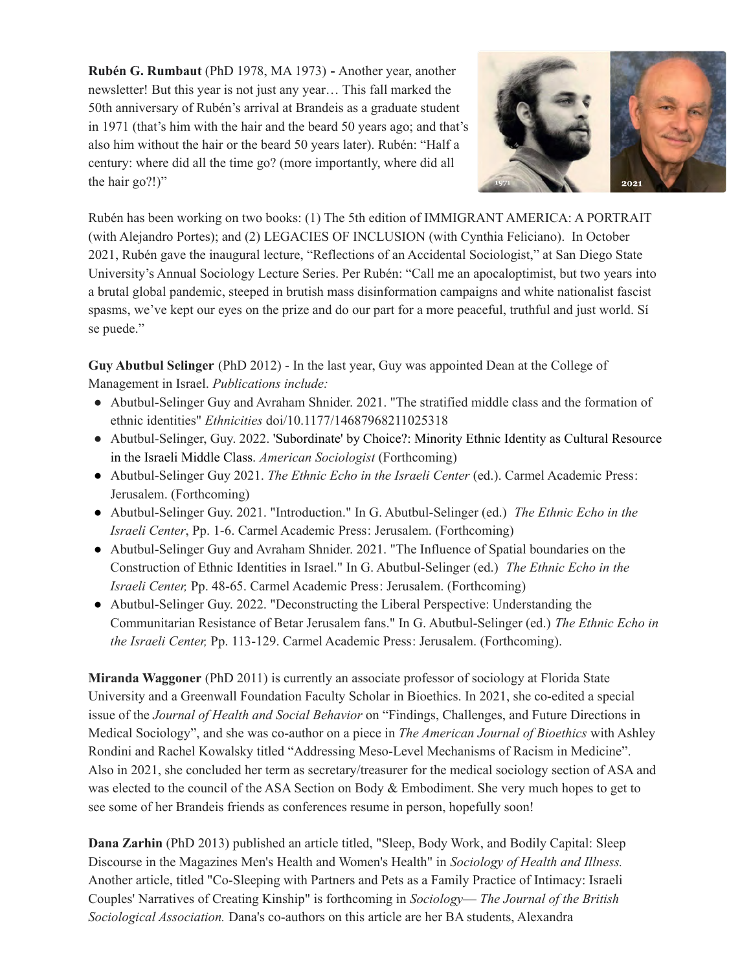**Rubén G. Rumbaut** (PhD 1978, MA 1973) **-** Another year, another newsletter! But this year is not just any year… This fall marked the 50th anniversary of Rubén's arrival at Brandeis as a graduate student in 1971 (that's him with the hair and the beard 50 years ago; and that's also him without the hair or the beard 50 years later). Rubén: "Half a century: where did all the time go? (more importantly, where did all the hair go?!)"



 Rubén has been working on two books: (1) The 5th edition of IMMIGRANT AMERICA: A PORTRAIT (with Alejandro Portes); and (2) LEGACIES OF INCLUSION (with Cynthia Feliciano). In October 2021, Rubén gave the inaugural lecture, "Reflections of an Accidental Sociologist," at San Diego State University's Annual Sociology Lecture Series. Per Rubén: "Call me an apocaloptimist, but two years into a brutal global pandemic, steeped in brutish mass disinformation campaigns and white nationalist fascist spasms, we've kept our eyes on the prize and do our part for a more peaceful, truthful and just world. Sí se puede."

 **Guy Abutbul Selinger** (PhD 2012) - In the last year, Guy was appointed Dean at the College of Management in Israel. *Publications include:*

- ● Abutbul-Selinger Guy and Avraham Shnider. 2021. "The stratified middle class and the formation of ethnic identities" *Ethnicities* doi/10.1177/14687968211025318
- ● Abutbul-Selinger, Guy. 2022. 'Subordinate' by Choice?: Minority Ethnic Identity as Cultural Resource in the Israeli Middle Class. *American Sociologist* (Forthcoming)
- ● Abutbul-Selinger Guy 2021. *The Ethnic Echo in the Israeli Center* (ed.). Carmel Academic Press: Jerusalem. (Forthcoming)
- ● Abutbul-Selinger Guy. 2021. "Introduction." In G. Abutbul-Selinger (ed.) *The Ethnic Echo in the Israeli Center*, Pp. 1-6. Carmel Academic Press: Jerusalem. (Forthcoming)
- ● Abutbul-Selinger Guy and Avraham Shnider. 2021. "The Influence of Spatial boundaries on the Construction of Ethnic Identities in Israel." In G. Abutbul-Selinger (ed.) *The Ethnic Echo in the Israeli Center,* Pp. 48-65. Carmel Academic Press: Jerusalem. (Forthcoming)
- ● Abutbul-Selinger Guy. 2022. "Deconstructing the Liberal Perspective: Understanding the Communitarian Resistance of Betar Jerusalem fans." In G. Abutbul-Selinger (ed.) *The Ethnic Echo in the Israeli Center,* Pp. 113-129. Carmel Academic Press: Jerusalem. (Forthcoming).

 **Miranda Waggoner** (PhD 2011) is currently an associate professor of sociology at Florida State University and a Greenwall Foundation Faculty Scholar in Bioethics. In 2021, she co-edited a special issue of the *Journal of Health and Social Behavior* on "Findings, Challenges, and Future Directions in Medical Sociology", and she was co-author on a piece in *The American Journal of Bioethics* with Ashley Rondini and Rachel Kowalsky titled "Addressing Meso-Level Mechanisms of Racism in Medicine". Also in 2021, she concluded her term as secretary/treasurer for the medical sociology section of ASA and was elected to the council of the ASA Section on Body & Embodiment. She very much hopes to get to see some of her Brandeis friends as conferences resume in person, hopefully soon!

 **Dana Zarhin** (PhD 2013) published an article titled, "Sleep, Body Work, and Bodily Capital: Sleep Discourse in the Magazines Men's Health and Women's Health" in *Sociology of Health and Illness.* Another article, titled "Co-Sleeping with Partners and Pets as a Family Practice of Intimacy: Israeli Couples' Narratives of Creating Kinship" is forthcoming in *Sociology*— *The Journal of the British Sociological Association.* Dana's co-authors on this article are her BA students, Alexandra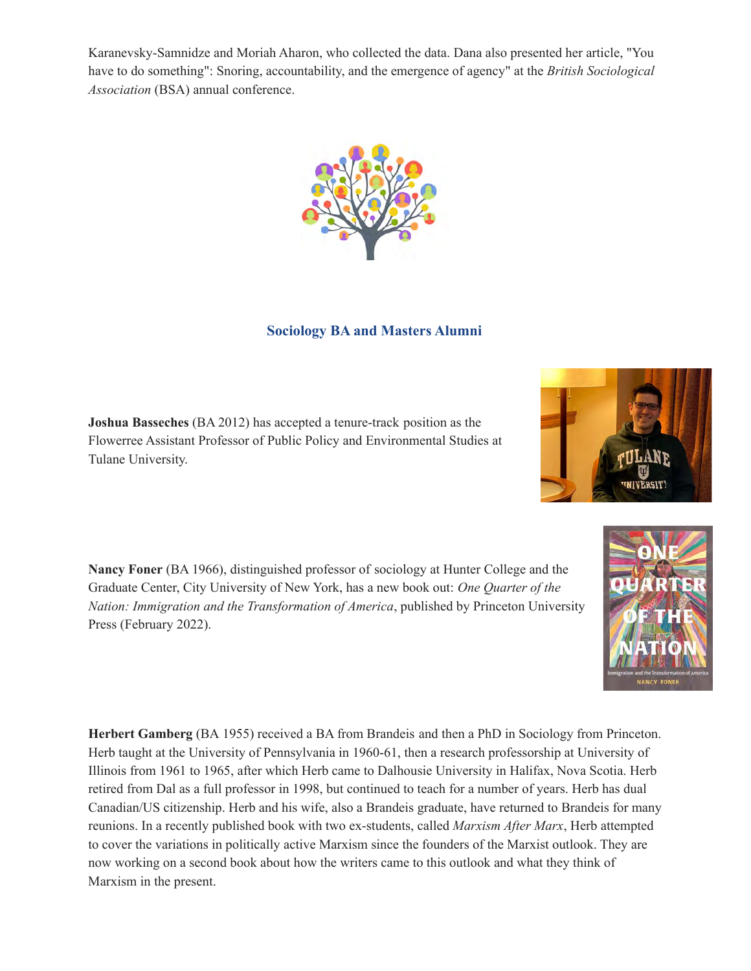Karanevsky-Samnidze and Moriah Aharon, who collected the data. Dana also presented her article, "You have to do something": Snoring, accountability, and the emergence of agency" at the *British Sociological Association* (BSA) annual conference.



#### **Sociology BA and Masters Alumni**

 **Joshua Basseches** (BA 2012) has accepted a tenure-track position as the Flowerree Assistant Professor of Public Policy and Environmental Studies at Tulane University.

 **Nancy Foner** (BA 1966), distinguished professor of sociology at Hunter College and the Graduate Center, City University of New York, has a new book out: *One Quarter of the Nation: Immigration and the Transformation of America*, published by Princeton University Press (February 2022).

 **Herbert Gamberg** (BA 1955) received a BA from Brandeis and then a PhD in Sociology from Princeton. Herb taught at the University of Pennsylvania in 1960-61, then a research professorship at University of Illinois from 1961 to 1965, after which Herb came to Dalhousie University in Halifax, Nova Scotia. Herb retired from Dal as a full professor in 1998, but continued to teach for a number of years. Herb has dual Canadian/US citizenship. Herb and his wife, also a Brandeis graduate, have returned to Brandeis for many reunions. In a recently published book with two ex-students, called *Marxism After Marx*, Herb attempted to cover the variations in politically active Marxism since the founders of the Marxist outlook. They are now working on a second book about how the writers came to this outlook and what they think of Marxism in the present.